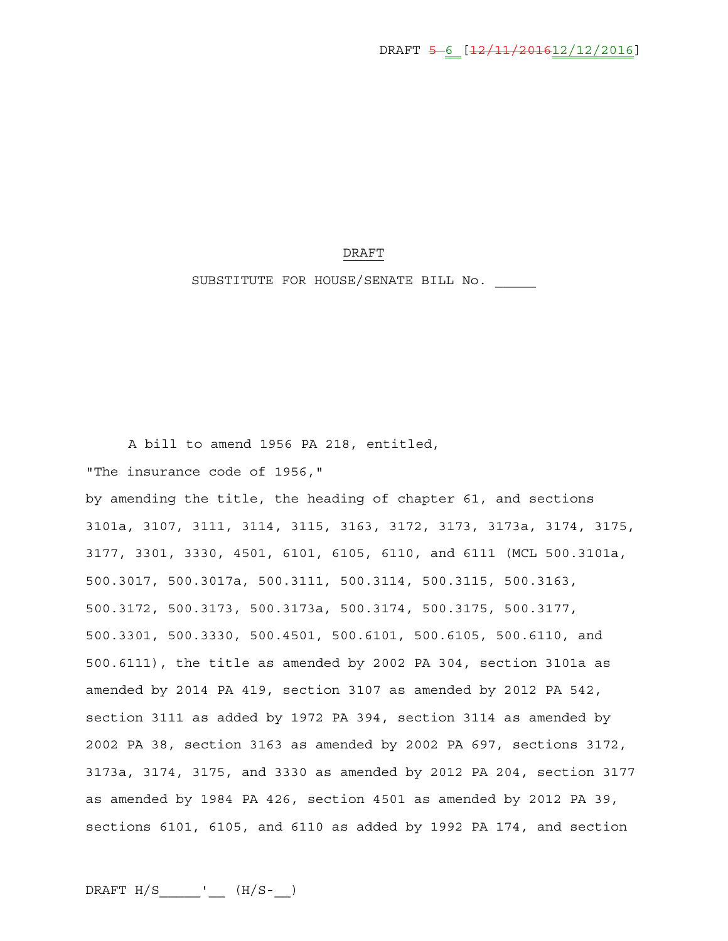## DRAFT

SUBSTITUTE FOR HOUSE/SENATE BILL No.

A bill to amend 1956 PA 218, entitled,

"The insurance code of 1956,"

by amending the title, the heading of chapter 61, and sections 3101a, 3107, 3111, 3114, 3115, 3163, 3172, 3173, 3173a, 3174, 3175, 3177, 3301, 3330, 4501, 6101, 6105, 6110, and 6111 (MCL 500.3101a, 500.3017, 500.3017a, 500.3111, 500.3114, 500.3115, 500.3163, 500.3172, 500.3173, 500.3173a, 500.3174, 500.3175, 500.3177, 500.3301, 500.3330, 500.4501, 500.6101, 500.6105, 500.6110, and 500.6111), the title as amended by 2002 PA 304, section 3101a as amended by 2014 PA 419, section 3107 as amended by 2012 PA 542, section 3111 as added by 1972 PA 394, section 3114 as amended by 2002 PA 38, section 3163 as amended by 2002 PA 697, sections 3172, 3173a, 3174, 3175, and 3330 as amended by 2012 PA 204, section 3177 as amended by 1984 PA 426, section 4501 as amended by 2012 PA 39, sections 6101, 6105, and 6110 as added by 1992 PA 174, and section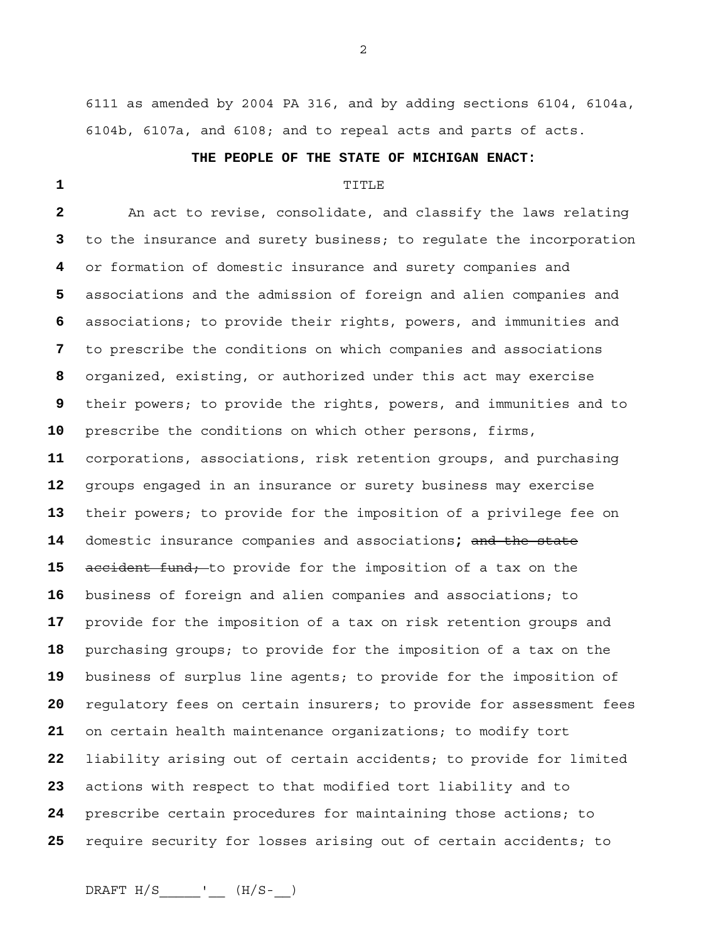6111 as amended by 2004 PA 316, and by adding sections 6104, 6104a, 6104b, 6107a, and 6108; and to repeal acts and parts of acts.

## **THE PEOPLE OF THE STATE OF MICHIGAN ENACT:**

## TITLE

An act to revise, consolidate, and classify the laws relating to the insurance and surety business; to regulate the incorporation or formation of domestic insurance and surety companies and associations and the admission of foreign and alien companies and associations; to provide their rights, powers, and immunities and to prescribe the conditions on which companies and associations organized, existing, or authorized under this act may exercise their powers; to provide the rights, powers, and immunities and to prescribe the conditions on which other persons, firms, corporations, associations, risk retention groups, and purchasing groups engaged in an insurance or surety business may exercise their powers; to provide for the imposition of a privilege fee on domestic insurance companies and associations**;** and the state accident fund; to provide for the imposition of a tax on the business of foreign and alien companies and associations; to provide for the imposition of a tax on risk retention groups and purchasing groups; to provide for the imposition of a tax on the business of surplus line agents; to provide for the imposition of regulatory fees on certain insurers; to provide for assessment fees on certain health maintenance organizations; to modify tort liability arising out of certain accidents; to provide for limited actions with respect to that modified tort liability and to prescribe certain procedures for maintaining those actions; to require security for losses arising out of certain accidents; to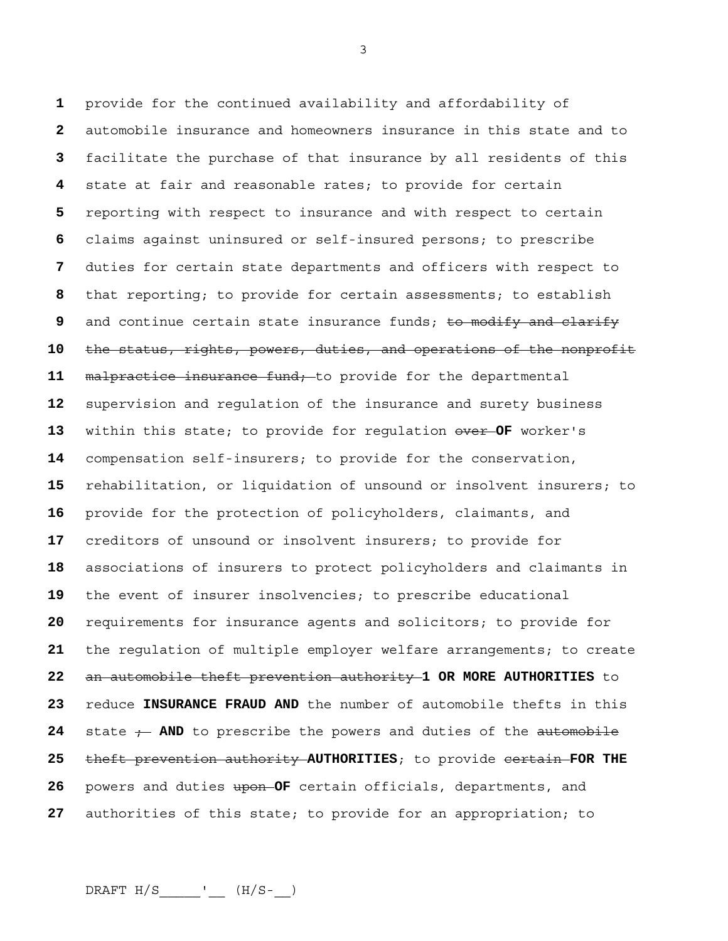provide for the continued availability and affordability of automobile insurance and homeowners insurance in this state and to facilitate the purchase of that insurance by all residents of this state at fair and reasonable rates; to provide for certain reporting with respect to insurance and with respect to certain claims against uninsured or self-insured persons; to prescribe duties for certain state departments and officers with respect to that reporting; to provide for certain assessments; to establish and continue certain state insurance funds; to modify and clarify the status, rights, powers, duties, and operations of the nonprofit malpractice insurance fund; to provide for the departmental supervision and regulation of the insurance and surety business within this state; to provide for regulation over **OF** worker's compensation self-insurers; to provide for the conservation, rehabilitation, or liquidation of unsound or insolvent insurers; to provide for the protection of policyholders, claimants, and creditors of unsound or insolvent insurers; to provide for associations of insurers to protect policyholders and claimants in the event of insurer insolvencies; to prescribe educational requirements for insurance agents and solicitors; to provide for the regulation of multiple employer welfare arrangements; to create an automobile theft prevention authority **1 OR MORE AUTHORITIES** to reduce **INSURANCE FRAUD AND** the number of automobile thefts in this 24 state ; AND to prescribe the powers and duties of the automobile theft prevention authority **AUTHORITIES**; to provide certain **FOR THE**  powers and duties upon **OF** certain officials, departments, and authorities of this state; to provide for an appropriation; to

 $DRAPT H/S$  \_\_\_\_\_\_\_'\_\_\_ (H/S-\_\_)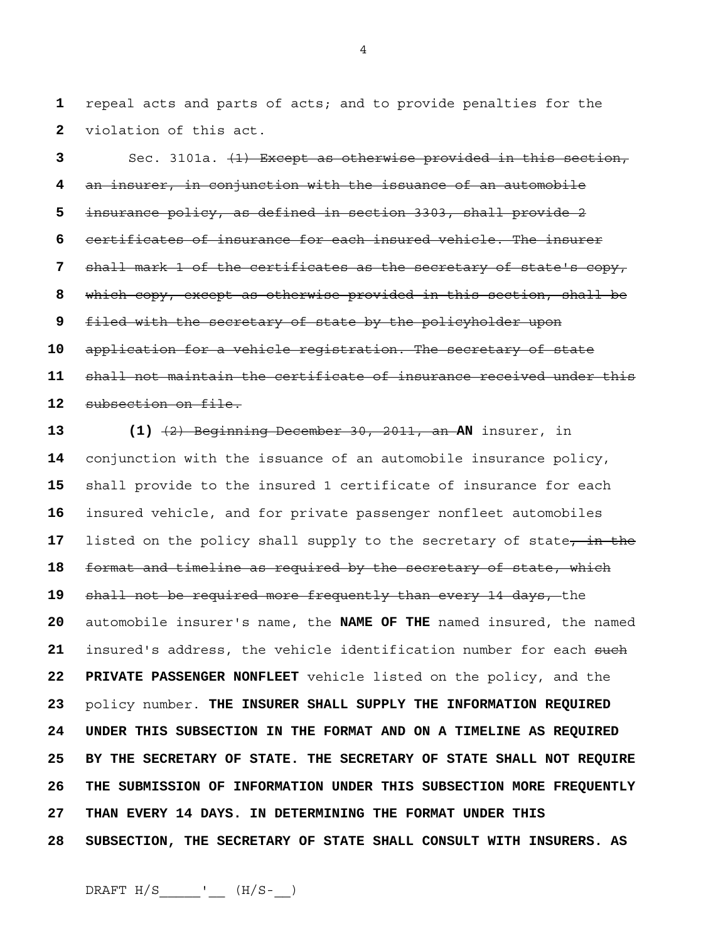repeal acts and parts of acts; and to provide penalties for the violation of this act.

Sec. 3101a. (1) Except as otherwise provided in this section, an insurer, in conjunction with the issuance of an automobile insurance policy, as defined in section 3303, shall provide 2 certificates of insurance for each insured vehicle. The insurer shall mark 1 of the certificates as the secretary of state's copy, which copy, except as otherwise provided in this section, shall be filed with the secretary of state by the policyholder upon application for a vehicle registration. The secretary of state shall not maintain the certificate of insurance received under this subsection on file.

**13 (1)** (2) Beginning December 30, 2011, an **AN** insurer, in conjunction with the issuance of an automobile insurance policy, shall provide to the insured 1 certificate of insurance for each insured vehicle, and for private passenger nonfleet automobiles 17 listed on the policy shall supply to the secretary of state, in the format and timeline as required by the secretary of state, which shall not be required more frequently than every 14 days, the automobile insurer's name, the **NAME OF THE** named insured, the named **insured's address, the vehicle identification number for each such 22 PRIVATE PASSENGER NONFLEET** vehicle listed on the policy, and the policy number. **THE INSURER SHALL SUPPLY THE INFORMATION REQUIRED 24 UNDER THIS SUBSECTION IN THE FORMAT AND ON A TIMELINE AS REQUIRED 25 BY THE SECRETARY OF STATE. THE SECRETARY OF STATE SHALL NOT REQUIRE 26 THE SUBMISSION OF INFORMATION UNDER THIS SUBSECTION MORE FREQUENTLY 27 THAN EVERY 14 DAYS. IN DETERMINING THE FORMAT UNDER THIS 28 SUBSECTION, THE SECRETARY OF STATE SHALL CONSULT WITH INSURERS. AS** 

 $DRAPT H/S$  \_\_\_\_\_\_'\_\_\_ (H/S-\_\_)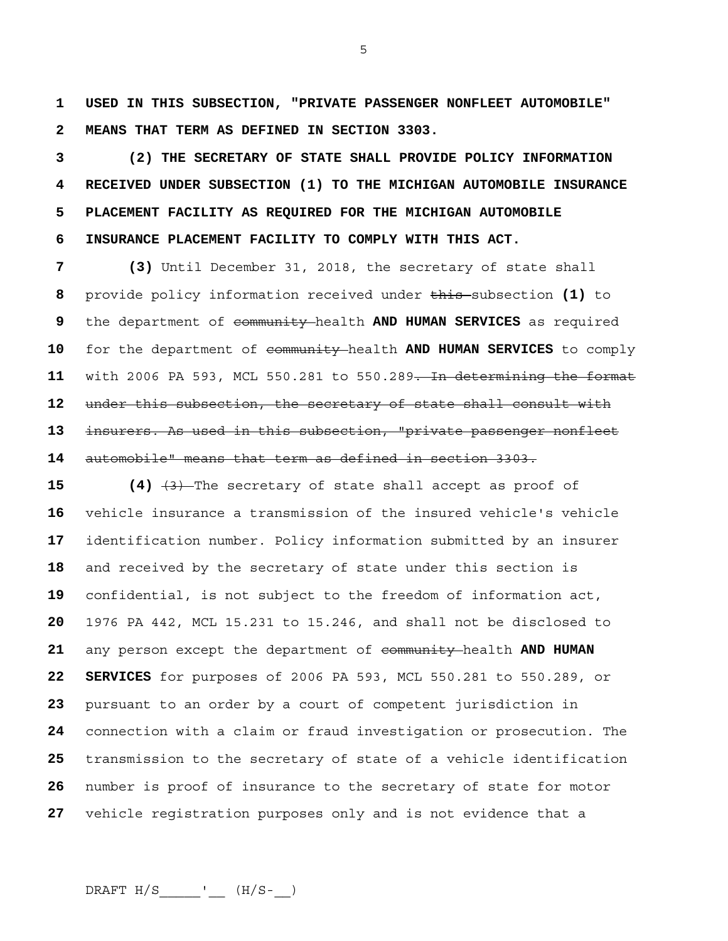**1 USED IN THIS SUBSECTION, "PRIVATE PASSENGER NONFLEET AUTOMOBILE" 2 MEANS THAT TERM AS DEFINED IN SECTION 3303.** 

**3 (2) THE SECRETARY OF STATE SHALL PROVIDE POLICY INFORMATION 4 RECEIVED UNDER SUBSECTION (1) TO THE MICHIGAN AUTOMOBILE INSURANCE 5 PLACEMENT FACILITY AS REQUIRED FOR THE MICHIGAN AUTOMOBILE 6 INSURANCE PLACEMENT FACILITY TO COMPLY WITH THIS ACT.** 

**7 (3)** Until December 31, 2018, the secretary of state shall provide policy information received under this subsection **(1)** to the department of community health **AND HUMAN SERVICES** as required for the department of community health **AND HUMAN SERVICES** to comply with 2006 PA 593, MCL 550.281 to 550.289. In determining the format under this subsection, the secretary of state shall consult with insurers. As used in this subsection, "private passenger nonfleet automobile" means that term as defined in section 3303.

 (4)  $\left(4\right)$   $\left(3\right)$  The secretary of state shall accept as proof of vehicle insurance a transmission of the insured vehicle's vehicle identification number. Policy information submitted by an insurer and received by the secretary of state under this section is confidential, is not subject to the freedom of information act, 1976 PA 442, MCL 15.231 to 15.246, and shall not be disclosed to any person except the department of community health **AND HUMAN 22 SERVICES** for purposes of 2006 PA 593, MCL 550.281 to 550.289, or pursuant to an order by a court of competent jurisdiction in connection with a claim or fraud investigation or prosecution. The transmission to the secretary of state of a vehicle identification number is proof of insurance to the secretary of state for motor vehicle registration purposes only and is not evidence that a

 $DRAPT H/S$  \_\_\_\_\_\_\_'\_\_\_ (H/S-\_\_)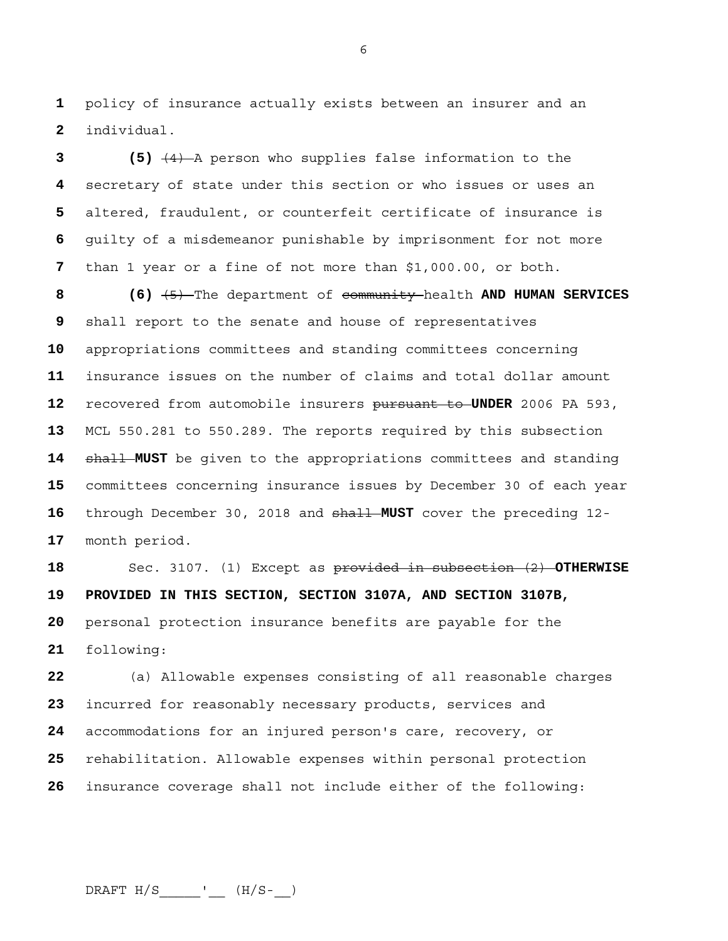policy of insurance actually exists between an insurer and an individual.

**3 (5)** (4) A person who supplies false information to the secretary of state under this section or who issues or uses an altered, fraudulent, or counterfeit certificate of insurance is guilty of a misdemeanor punishable by imprisonment for not more than 1 year or a fine of not more than \$1,000.00, or both.

**8 (6)** (5) The department of community health **AND HUMAN SERVICES**  shall report to the senate and house of representatives appropriations committees and standing committees concerning insurance issues on the number of claims and total dollar amount recovered from automobile insurers pursuant to **UNDER** 2006 PA 593, MCL 550.281 to 550.289. The reports required by this subsection shall **MUST** be given to the appropriations committees and standing committees concerning insurance issues by December 30 of each year through December 30, 2018 and shall **MUST** cover the preceding 12- month period.

Sec. 3107. (1) Except as provided in subsection (2) **OTHERWISE 19 PROVIDED IN THIS SECTION, SECTION 3107A, AND SECTION 3107B,**  personal protection insurance benefits are payable for the following:

(a) Allowable expenses consisting of all reasonable charges incurred for reasonably necessary products, services and accommodations for an injured person's care, recovery, or rehabilitation. Allowable expenses within personal protection insurance coverage shall not include either of the following: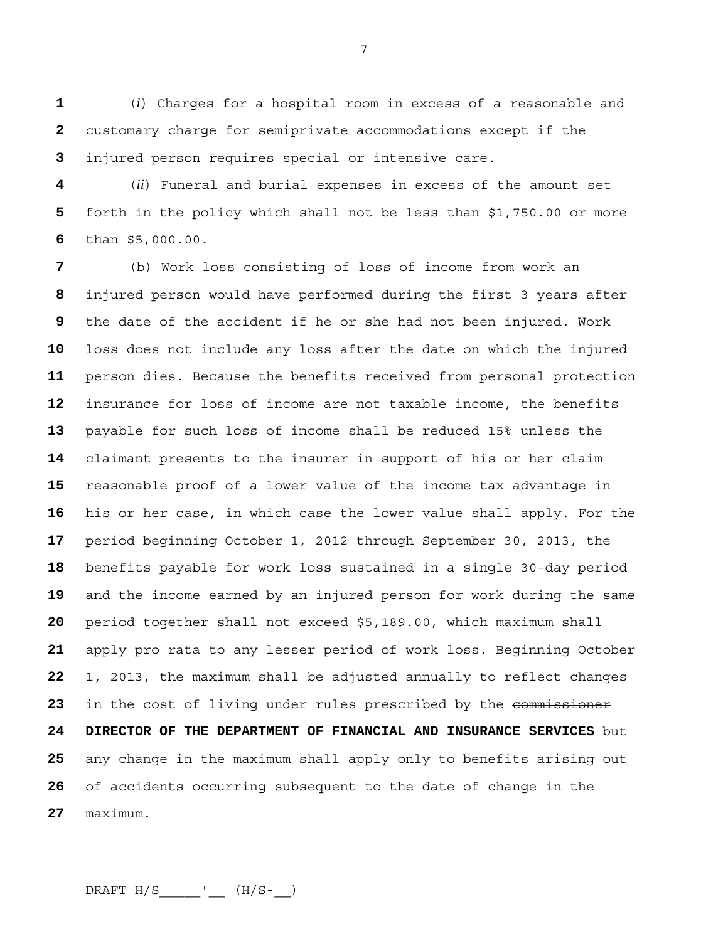(*i*) Charges for a hospital room in excess of a reasonable and customary charge for semiprivate accommodations except if the injured person requires special or intensive care.

(*ii*) Funeral and burial expenses in excess of the amount set forth in the policy which shall not be less than \$1,750.00 or more than \$5,000.00.

(b) Work loss consisting of loss of income from work an injured person would have performed during the first 3 years after the date of the accident if he or she had not been injured. Work loss does not include any loss after the date on which the injured person dies. Because the benefits received from personal protection insurance for loss of income are not taxable income, the benefits payable for such loss of income shall be reduced 15% unless the claimant presents to the insurer in support of his or her claim reasonable proof of a lower value of the income tax advantage in his or her case, in which case the lower value shall apply. For the period beginning October 1, 2012 through September 30, 2013, the benefits payable for work loss sustained in a single 30-day period and the income earned by an injured person for work during the same period together shall not exceed \$5,189.00, which maximum shall apply pro rata to any lesser period of work loss. Beginning October 1, 2013, the maximum shall be adjusted annually to reflect changes 23 in the cost of living under rules prescribed by the commissioner **24 DIRECTOR OF THE DEPARTMENT OF FINANCIAL AND INSURANCE SERVICES** but any change in the maximum shall apply only to benefits arising out of accidents occurring subsequent to the date of change in the maximum.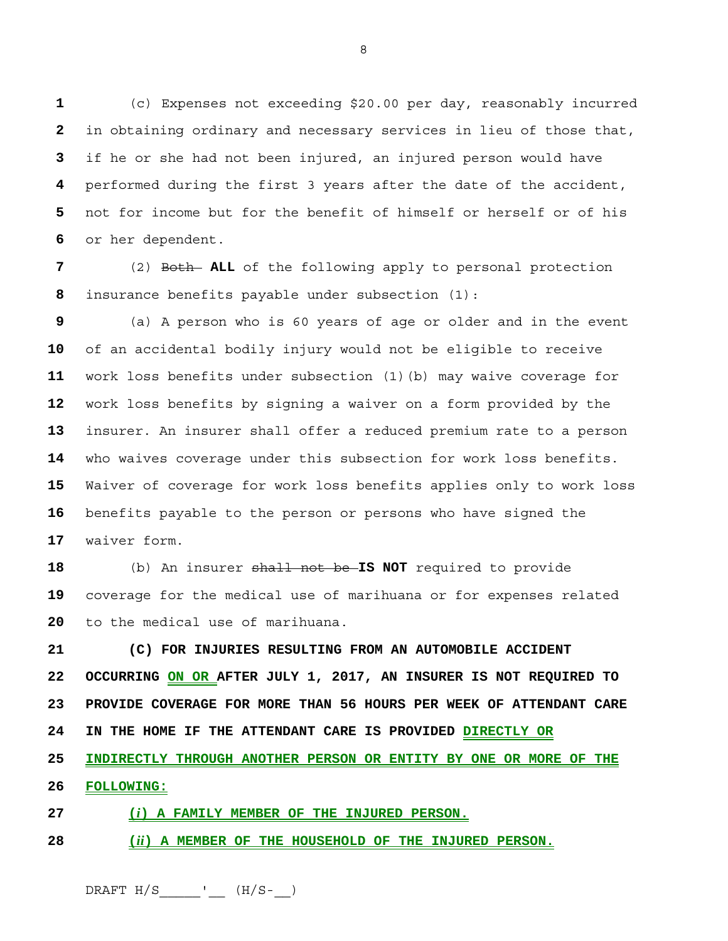(c) Expenses not exceeding \$20.00 per day, reasonably incurred in obtaining ordinary and necessary services in lieu of those that, if he or she had not been injured, an injured person would have performed during the first 3 years after the date of the accident, not for income but for the benefit of himself or herself or of his or her dependent.

(2) Both **ALL** of the following apply to personal protection insurance benefits payable under subsection (1):

(a) A person who is 60 years of age or older and in the event of an accidental bodily injury would not be eligible to receive work loss benefits under subsection (1)(b) may waive coverage for work loss benefits by signing a waiver on a form provided by the insurer. An insurer shall offer a reduced premium rate to a person who waives coverage under this subsection for work loss benefits. Waiver of coverage for work loss benefits applies only to work loss benefits payable to the person or persons who have signed the waiver form.

(b) An insurer shall not be **IS NOT** required to provide coverage for the medical use of marihuana or for expenses related to the medical use of marihuana.

**21 (C) FOR INJURIES RESULTING FROM AN AUTOMOBILE ACCIDENT 22 OCCURRING ON OR AFTER JULY 1, 2017, AN INSURER IS NOT REQUIRED TO 23 PROVIDE COVERAGE FOR MORE THAN 56 HOURS PER WEEK OF ATTENDANT CARE 24 IN THE HOME IF THE ATTENDANT CARE IS PROVIDED DIRECTLY OR 25 INDIRECTLY THROUGH ANOTHER PERSON OR ENTITY BY ONE OR MORE OF THE 26 FOLLOWING:**

**27 (***i***) A FAMILY MEMBER OF THE INJURED PERSON.**

**28 (***ii***) A MEMBER OF THE HOUSEHOLD OF THE INJURED PERSON.**

 $DRAPT H/S$  \_\_\_\_\_\_'\_\_\_ (H/S-\_\_)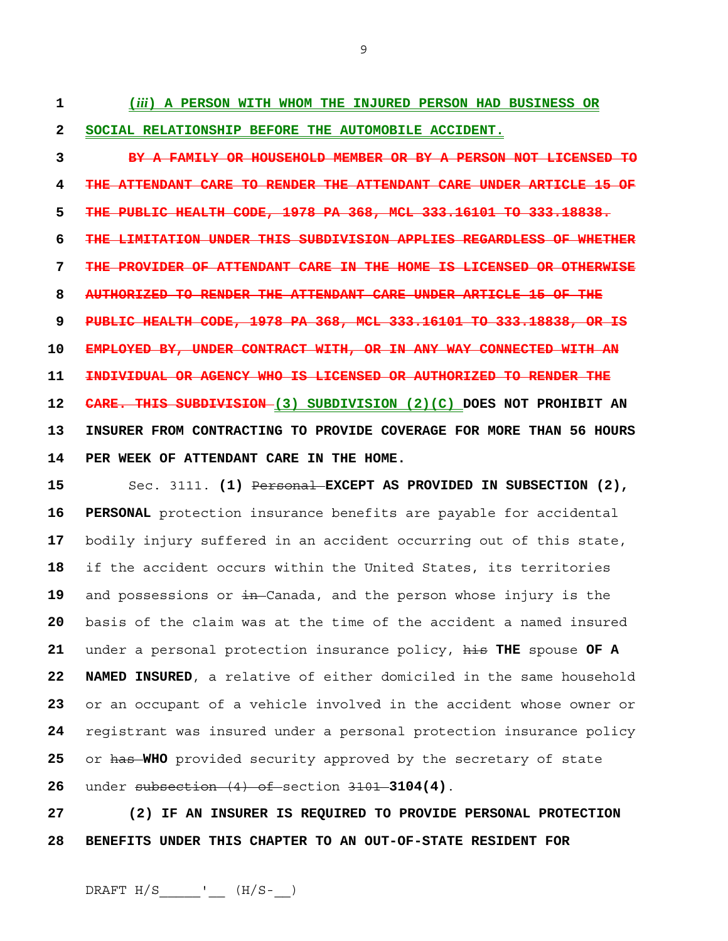**1 (***iii***) A PERSON WITH WHOM THE INJURED PERSON HAD BUSINESS OR 2 SOCIAL RELATIONSHIP BEFORE THE AUTOMOBILE ACCIDENT.**

**3 BY A FAMILY OR HOUSEHOLD MEMBER OR BY A PERSON NOT LICENSED TO 4 THE ATTENDANT CARE TO RENDER THE ATTENDANT CARE UNDER ARTICLE 15 OF 5 THE PUBLIC HEALTH CODE, 1978 PA 368, MCL 333.16101 TO 333.18838. 6 THE LIMITATION UNDER THIS SUBDIVISION APPLIES REGARDLESS OF WHETHER 7 THE PROVIDER OF ATTENDANT CARE IN THE HOME IS LICENSED OR OTHERWISE 8 AUTHORIZED TO RENDER THE ATTENDANT CARE UNDER ARTICLE 15 OF THE 9 PUBLIC HEALTH CODE, 1978 PA 368, MCL 333.16101 TO 333.18838, OR IS 10 EMPLOYED BY, UNDER CONTRACT WITH, OR IN ANY WAY CONNECTED WITH AN 11 INDIVIDUAL OR AGENCY WHO IS LICENSED OR AUTHORIZED TO RENDER THE 12 CARE. THIS SUBDIVISION (3) SUBDIVISION (2)(C) DOES NOT PROHIBIT AN 13 INSURER FROM CONTRACTING TO PROVIDE COVERAGE FOR MORE THAN 56 HOURS 14 PER WEEK OF ATTENDANT CARE IN THE HOME.**

Sec. 3111. **(1)** Personal **EXCEPT AS PROVIDED IN SUBSECTION (2), 16 PERSONAL** protection insurance benefits are payable for accidental bodily injury suffered in an accident occurring out of this state, if the accident occurs within the United States, its territories and possessions or in Canada, and the person whose injury is the basis of the claim was at the time of the accident a named insured under a personal protection insurance policy, his **THE** spouse **OF A 22 NAMED INSURED**, a relative of either domiciled in the same household or an occupant of a vehicle involved in the accident whose owner or registrant was insured under a personal protection insurance policy or has **WHO** provided security approved by the secretary of state under subsection (4) of section 3101 **3104(4)**.

**27 (2) IF AN INSURER IS REQUIRED TO PROVIDE PERSONAL PROTECTION 28 BENEFITS UNDER THIS CHAPTER TO AN OUT-OF-STATE RESIDENT FOR** 

 $DRAPT H/S$  \_\_\_\_\_\_'\_\_\_ (H/S-\_\_)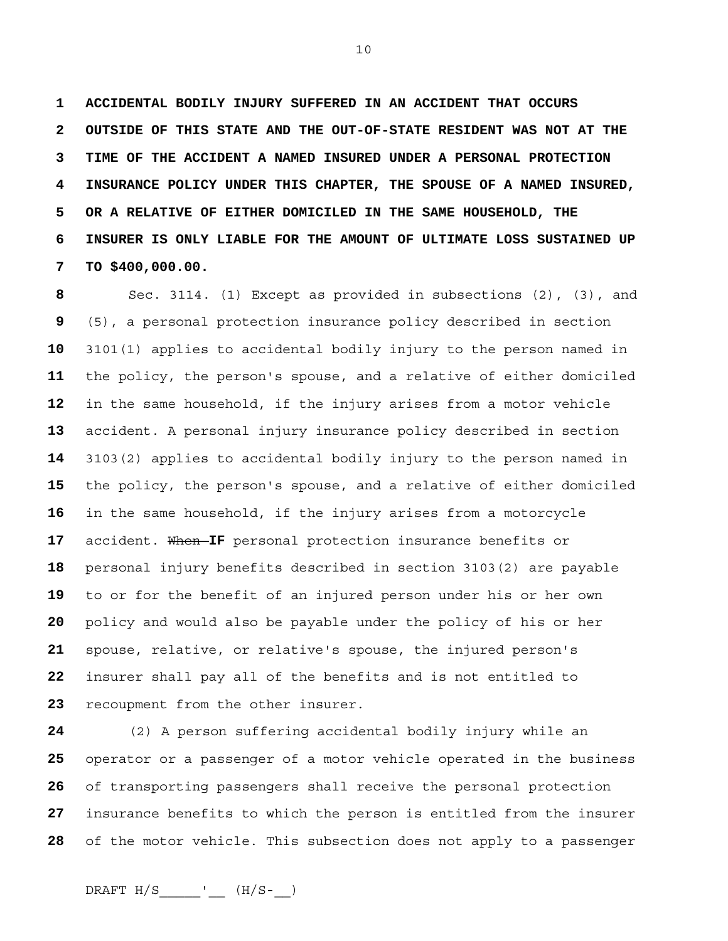**1 ACCIDENTAL BODILY INJURY SUFFERED IN AN ACCIDENT THAT OCCURS 2 OUTSIDE OF THIS STATE AND THE OUT-OF-STATE RESIDENT WAS NOT AT THE 3 TIME OF THE ACCIDENT A NAMED INSURED UNDER A PERSONAL PROTECTION 4 INSURANCE POLICY UNDER THIS CHAPTER, THE SPOUSE OF A NAMED INSURED, 5 OR A RELATIVE OF EITHER DOMICILED IN THE SAME HOUSEHOLD, THE 6 INSURER IS ONLY LIABLE FOR THE AMOUNT OF ULTIMATE LOSS SUSTAINED UP 7 TO \$400,000.00.** 

Sec. 3114. (1) Except as provided in subsections (2), (3), and (5), a personal protection insurance policy described in section 3101(1) applies to accidental bodily injury to the person named in the policy, the person's spouse, and a relative of either domiciled in the same household, if the injury arises from a motor vehicle accident. A personal injury insurance policy described in section 3103(2) applies to accidental bodily injury to the person named in the policy, the person's spouse, and a relative of either domiciled in the same household, if the injury arises from a motorcycle 17 accident. When IF personal protection insurance benefits or personal injury benefits described in section 3103(2) are payable to or for the benefit of an injured person under his or her own policy and would also be payable under the policy of his or her spouse, relative, or relative's spouse, the injured person's insurer shall pay all of the benefits and is not entitled to recoupment from the other insurer.

(2) A person suffering accidental bodily injury while an operator or a passenger of a motor vehicle operated in the business of transporting passengers shall receive the personal protection insurance benefits to which the person is entitled from the insurer of the motor vehicle. This subsection does not apply to a passenger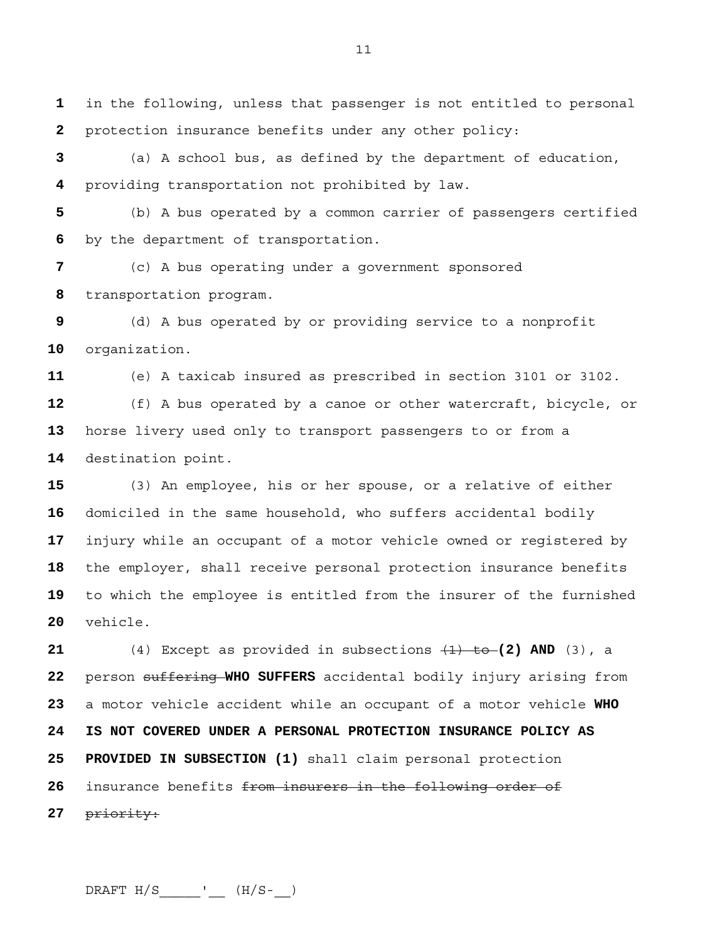in the following, unless that passenger is not entitled to personal protection insurance benefits under any other policy:

(a) A school bus, as defined by the department of education, providing transportation not prohibited by law.

(b) A bus operated by a common carrier of passengers certified by the department of transportation.

(c) A bus operating under a government sponsored transportation program.

(d) A bus operated by or providing service to a nonprofit organization.

(e) A taxicab insured as prescribed in section 3101 or 3102.

(f) A bus operated by a canoe or other watercraft, bicycle, or horse livery used only to transport passengers to or from a destination point.

(3) An employee, his or her spouse, or a relative of either domiciled in the same household, who suffers accidental bodily injury while an occupant of a motor vehicle owned or registered by the employer, shall receive personal protection insurance benefits to which the employee is entitled from the insurer of the furnished vehicle.

(4) Except as provided in subsections (1) to **(2) AND** (3), a person suffering **WHO SUFFERS** accidental bodily injury arising from a motor vehicle accident while an occupant of a motor vehicle **WHO 24 IS NOT COVERED UNDER A PERSONAL PROTECTION INSURANCE POLICY AS 25 PROVIDED IN SUBSECTION (1)** shall claim personal protection insurance benefits from insurers in the following order of priority: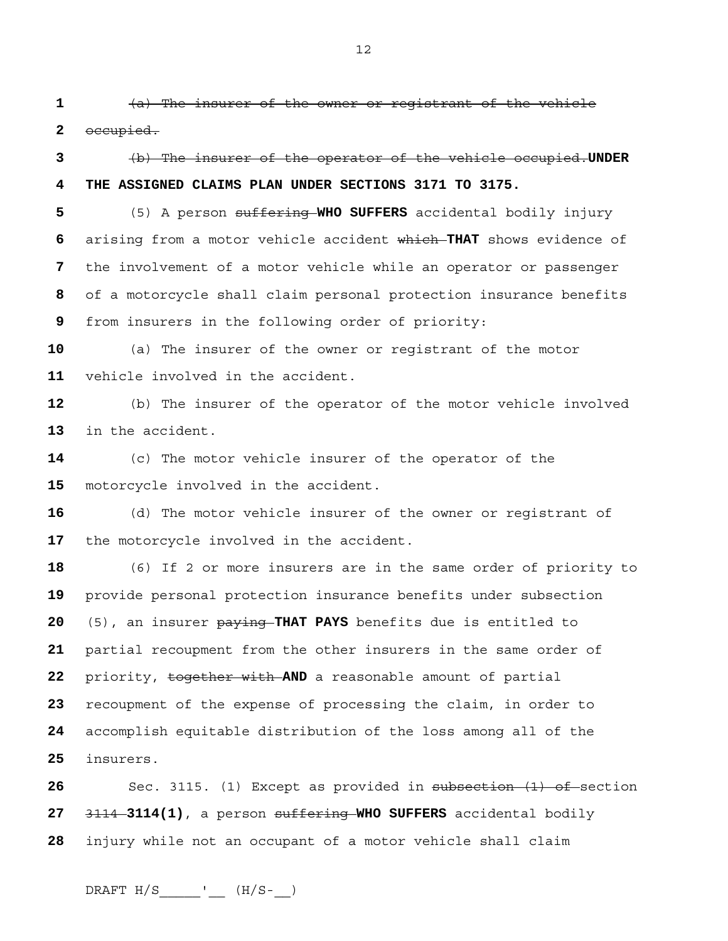(a) The insurer of the owner or registrant of the vehicle

occupied.

(b) The insurer of the operator of the vehicle occupied.**UNDER 4 THE ASSIGNED CLAIMS PLAN UNDER SECTIONS 3171 TO 3175.**

(5) A person suffering **WHO SUFFERS** accidental bodily injury arising from a motor vehicle accident which **THAT** shows evidence of the involvement of a motor vehicle while an operator or passenger of a motorcycle shall claim personal protection insurance benefits from insurers in the following order of priority:

(a) The insurer of the owner or registrant of the motor vehicle involved in the accident.

(b) The insurer of the operator of the motor vehicle involved in the accident.

(c) The motor vehicle insurer of the operator of the motorcycle involved in the accident.

(d) The motor vehicle insurer of the owner or registrant of the motorcycle involved in the accident.

(6) If 2 or more insurers are in the same order of priority to provide personal protection insurance benefits under subsection (5), an insurer paying **THAT PAYS** benefits due is entitled to partial recoupment from the other insurers in the same order of priority, together with **AND** a reasonable amount of partial recoupment of the expense of processing the claim, in order to accomplish equitable distribution of the loss among all of the insurers.

26 Sec. 3115. (1) Except as provided in subsection (1) of section 3114 **3114(1)**, a person suffering **WHO SUFFERS** accidental bodily injury while not an occupant of a motor vehicle shall claim

DRAFT  $H/S$  \_\_\_\_\_\_\_\_'\_\_\_ ( $H/S$ -\_\_)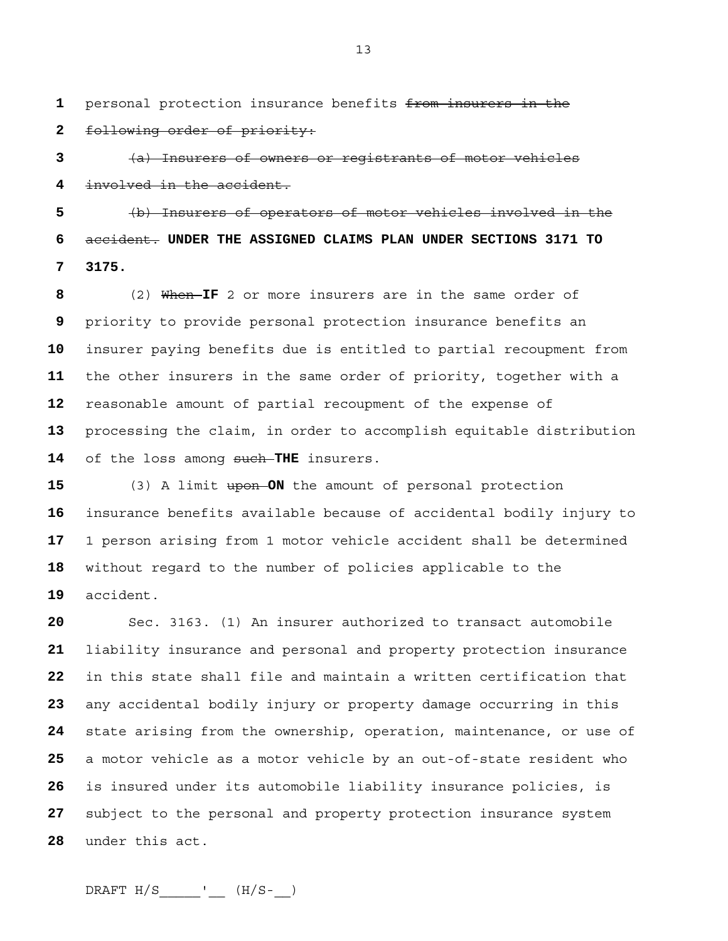personal protection insurance benefits from insurers in the following order of priority:

(a) Insurers of owners or registrants of motor vehicles involved in the accident.

(b) Insurers of operators of motor vehicles involved in the accident. **UNDER THE ASSIGNED CLAIMS PLAN UNDER SECTIONS 3171 TO 7 3175.**

(2) When **IF** 2 or more insurers are in the same order of priority to provide personal protection insurance benefits an insurer paying benefits due is entitled to partial recoupment from the other insurers in the same order of priority, together with a reasonable amount of partial recoupment of the expense of processing the claim, in order to accomplish equitable distribution 14 of the loss among such THE insurers.

(3) A limit upon **ON** the amount of personal protection insurance benefits available because of accidental bodily injury to 1 person arising from 1 motor vehicle accident shall be determined without regard to the number of policies applicable to the accident.

Sec. 3163. (1) An insurer authorized to transact automobile liability insurance and personal and property protection insurance in this state shall file and maintain a written certification that any accidental bodily injury or property damage occurring in this state arising from the ownership, operation, maintenance, or use of a motor vehicle as a motor vehicle by an out-of-state resident who is insured under its automobile liability insurance policies, is subject to the personal and property protection insurance system under this act.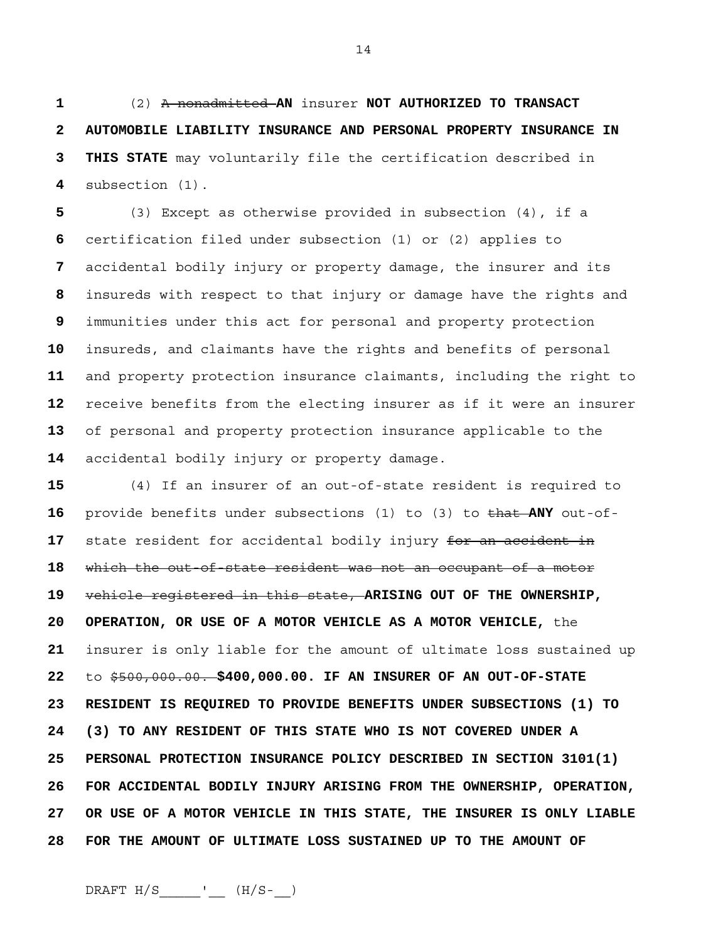(2) A nonadmitted **AN** insurer **NOT AUTHORIZED TO TRANSACT 2 AUTOMOBILE LIABILITY INSURANCE AND PERSONAL PROPERTY INSURANCE IN 3 THIS STATE** may voluntarily file the certification described in subsection (1).

(3) Except as otherwise provided in subsection (4), if a certification filed under subsection (1) or (2) applies to accidental bodily injury or property damage, the insurer and its insureds with respect to that injury or damage have the rights and immunities under this act for personal and property protection insureds, and claimants have the rights and benefits of personal and property protection insurance claimants, including the right to receive benefits from the electing insurer as if it were an insurer of personal and property protection insurance applicable to the accidental bodily injury or property damage.

(4) If an insurer of an out-of-state resident is required to provide benefits under subsections (1) to (3) to that **ANY** out-of-state resident for accidental bodily injury for an accident in which the out-of-state resident was not an occupant of a motor vehicle registered in this state, **ARISING OUT OF THE OWNERSHIP, 20 OPERATION, OR USE OF A MOTOR VEHICLE AS A MOTOR VEHICLE,** the insurer is only liable for the amount of ultimate loss sustained up to \$500,000.00. **\$400,000.00. IF AN INSURER OF AN OUT-OF-STATE 23 RESIDENT IS REQUIRED TO PROVIDE BENEFITS UNDER SUBSECTIONS (1) TO 24 (3) TO ANY RESIDENT OF THIS STATE WHO IS NOT COVERED UNDER A 25 PERSONAL PROTECTION INSURANCE POLICY DESCRIBED IN SECTION 3101(1) 26 FOR ACCIDENTAL BODILY INJURY ARISING FROM THE OWNERSHIP, OPERATION, 27 OR USE OF A MOTOR VEHICLE IN THIS STATE, THE INSURER IS ONLY LIABLE 28 FOR THE AMOUNT OF ULTIMATE LOSS SUSTAINED UP TO THE AMOUNT OF**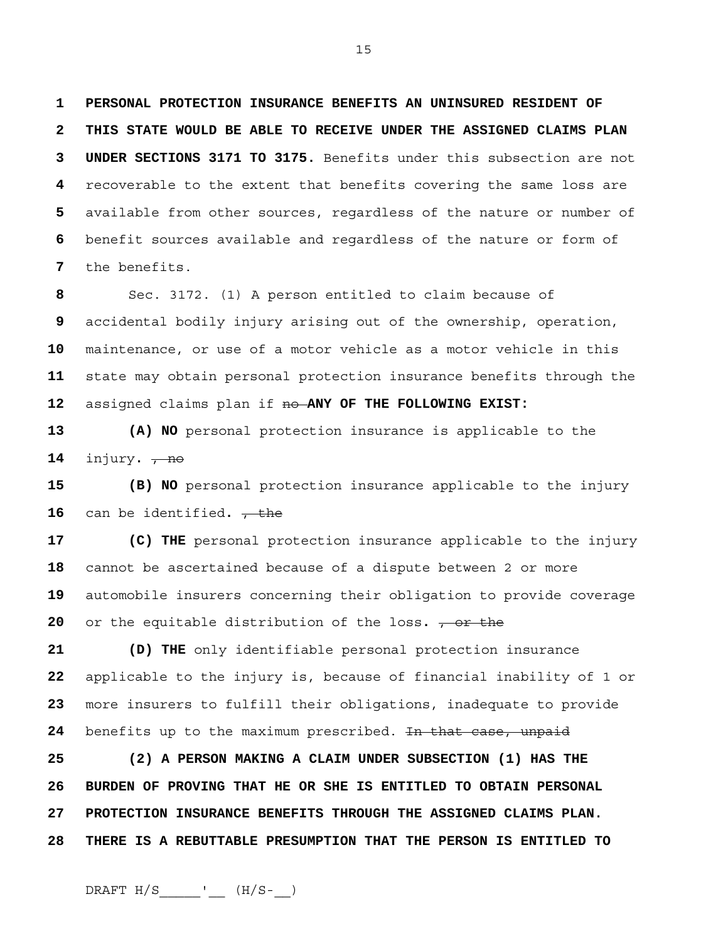**1 PERSONAL PROTECTION INSURANCE BENEFITS AN UNINSURED RESIDENT OF 2 THIS STATE WOULD BE ABLE TO RECEIVE UNDER THE ASSIGNED CLAIMS PLAN 3 UNDER SECTIONS 3171 TO 3175.** Benefits under this subsection are not **4** recoverable to the extent that benefits covering the same loss are **5** available from other sources, regardless of the nature or number of **6** benefit sources available and regardless of the nature or form of **7** the benefits.

15

Sec. 3172. (1) A person entitled to claim because of accidental bodily injury arising out of the ownership, operation, maintenance, or use of a motor vehicle as a motor vehicle in this state may obtain personal protection insurance benefits through the assigned claims plan if no **ANY OF THE FOLLOWING EXIST:** 

**13 (A) NO** personal protection insurance is applicable to the **14** injury**.** , no

**15 (B) NO** personal protection insurance applicable to the injury **16** can be identified.  $\frac{1}{100}$ 

**17 (C) THE** personal protection insurance applicable to the injury cannot be ascertained because of a dispute between 2 or more automobile insurers concerning their obligation to provide coverage or the equitable distribution of the loss.  $\frac{\pi}{2}$  or the

**21 (D) THE** only identifiable personal protection insurance **22** applicable to the injury is, because of financial inability of 1 or **23** more insurers to fulfill their obligations, inadequate to provide 24 benefits up to the maximum prescribed. In that case, unpaid

**25 (2) A PERSON MAKING A CLAIM UNDER SUBSECTION (1) HAS THE 26 BURDEN OF PROVING THAT HE OR SHE IS ENTITLED TO OBTAIN PERSONAL 27 PROTECTION INSURANCE BENEFITS THROUGH THE ASSIGNED CLAIMS PLAN. 28 THERE IS A REBUTTABLE PRESUMPTION THAT THE PERSON IS ENTITLED TO**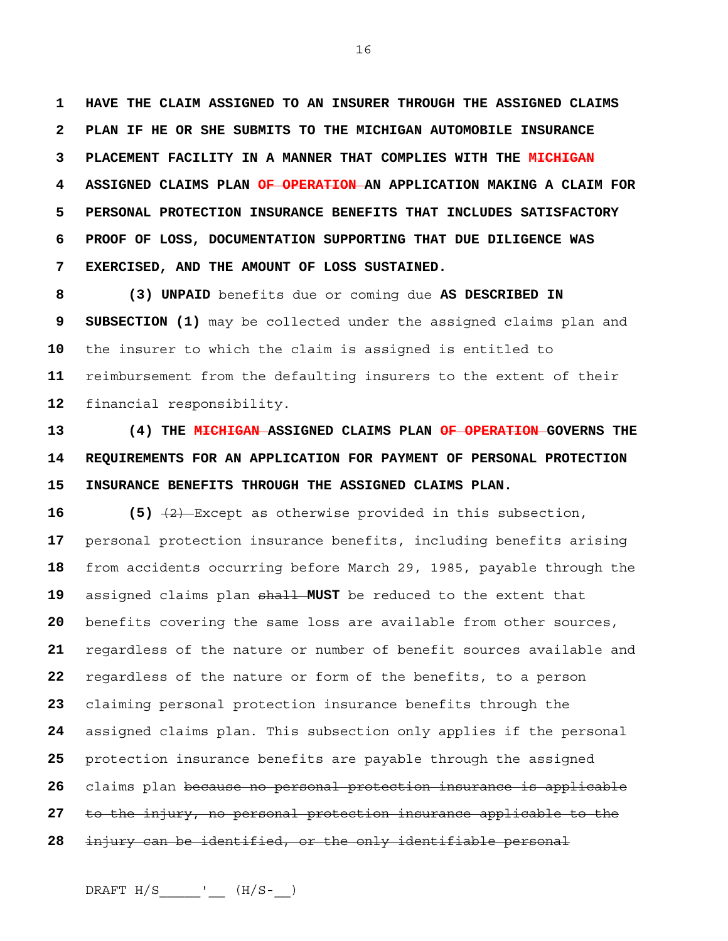**1 HAVE THE CLAIM ASSIGNED TO AN INSURER THROUGH THE ASSIGNED CLAIMS 2 PLAN IF HE OR SHE SUBMITS TO THE MICHIGAN AUTOMOBILE INSURANCE 3 PLACEMENT FACILITY IN A MANNER THAT COMPLIES WITH THE MICHIGAN 4 ASSIGNED CLAIMS PLAN OF OPERATION AN APPLICATION MAKING A CLAIM FOR 5 PERSONAL PROTECTION INSURANCE BENEFITS THAT INCLUDES SATISFACTORY 6 PROOF OF LOSS, DOCUMENTATION SUPPORTING THAT DUE DILIGENCE WAS 7 EXERCISED, AND THE AMOUNT OF LOSS SUSTAINED.**

**8 (3) UNPAID** benefits due or coming due **AS DESCRIBED IN 9 SUBSECTION (1)** may be collected under the assigned claims plan and **10** the insurer to which the claim is assigned is entitled to **11** reimbursement from the defaulting insurers to the extent of their **12** financial responsibility.

**13 (4) THE MICHIGAN ASSIGNED CLAIMS PLAN OF OPERATION GOVERNS THE 14 REQUIREMENTS FOR AN APPLICATION FOR PAYMENT OF PERSONAL PROTECTION 15 INSURANCE BENEFITS THROUGH THE ASSIGNED CLAIMS PLAN.** 

**16 (5)** (2) Except as otherwise provided in this subsection, personal protection insurance benefits, including benefits arising from accidents occurring before March 29, 1985, payable through the assigned claims plan shall **MUST** be reduced to the extent that benefits covering the same loss are available from other sources, regardless of the nature or number of benefit sources available and regardless of the nature or form of the benefits, to a person claiming personal protection insurance benefits through the assigned claims plan. This subsection only applies if the personal protection insurance benefits are payable through the assigned claims plan because no personal protection insurance is applicable to the injury, no personal protection insurance applicable to the injury can be identified, or the only identifiable personal

 $DRAPT H/S$ \_\_\_\_\_\_'\_\_\_(H/S-\_)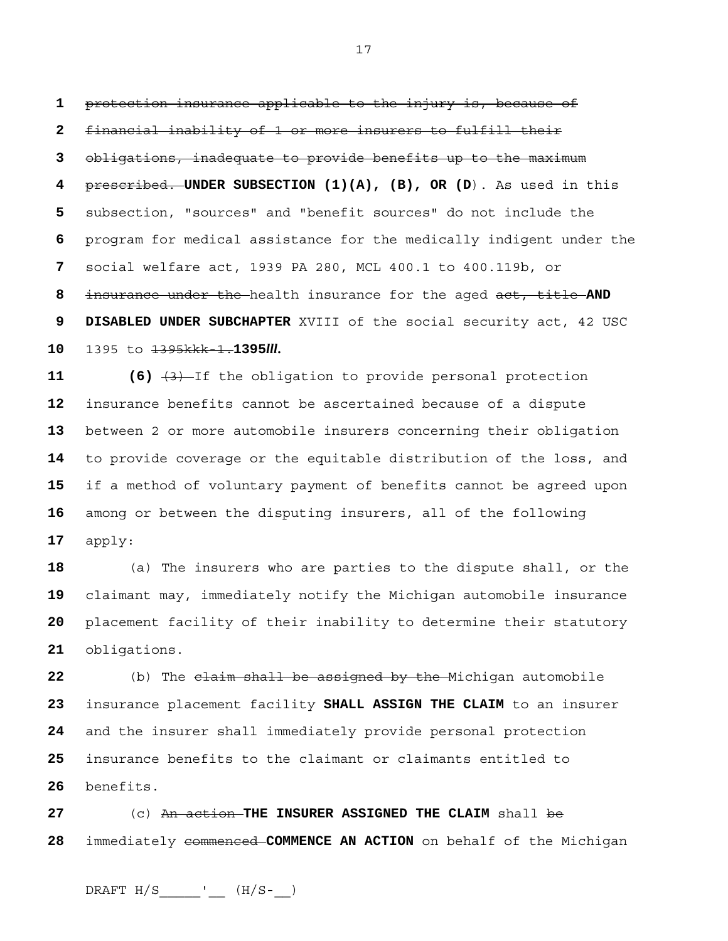protection insurance applicable to the injury is, because of financial inability of 1 or more insurers to fulfill their obligations, inadequate to provide benefits up to the maximum prescribed. **UNDER SUBSECTION (1)(A), (B), OR (D**). As used in this subsection, "sources" and "benefit sources" do not include the program for medical assistance for the medically indigent under the social welfare act, 1939 PA 280, MCL 400.1 to 400.119b, or insurance under the health insurance for the aged act, title **AND 9 DISABLED UNDER SUBCHAPTER** XVIII of the social security act, 42 USC 1395 to 1395kkk-1.**1395***lll***.**

 (6)  $\left(3\right)$  If the obligation to provide personal protection insurance benefits cannot be ascertained because of a dispute between 2 or more automobile insurers concerning their obligation to provide coverage or the equitable distribution of the loss, and if a method of voluntary payment of benefits cannot be agreed upon among or between the disputing insurers, all of the following apply:

(a) The insurers who are parties to the dispute shall, or the claimant may, immediately notify the Michigan automobile insurance placement facility of their inability to determine their statutory obligations.

(b) The claim shall be assigned by the Michigan automobile insurance placement facility **SHALL ASSIGN THE CLAIM** to an insurer and the insurer shall immediately provide personal protection insurance benefits to the claimant or claimants entitled to benefits.

(c) An action **THE INSURER ASSIGNED THE CLAIM** shall be immediately commenced **COMMENCE AN ACTION** on behalf of the Michigan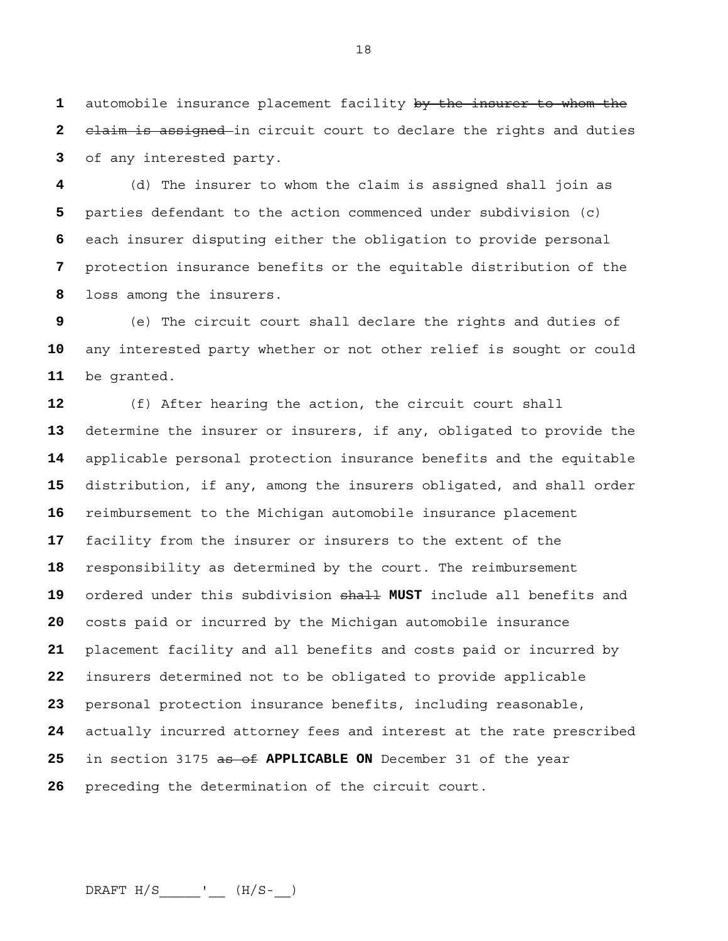automobile insurance placement facility by the insurer to whom the claim is assigned in circuit court to declare the rights and duties of any interested party.

(d) The insurer to whom the claim is assigned shall join as parties defendant to the action commenced under subdivision (c) each insurer disputing either the obligation to provide personal protection insurance benefits or the equitable distribution of the loss among the insurers.

(e) The circuit court shall declare the rights and duties of any interested party whether or not other relief is sought or could be granted.

(f) After hearing the action, the circuit court shall determine the insurer or insurers, if any, obligated to provide the applicable personal protection insurance benefits and the equitable distribution, if any, among the insurers obligated, and shall order reimbursement to the Michigan automobile insurance placement facility from the insurer or insurers to the extent of the responsibility as determined by the court. The reimbursement ordered under this subdivision shall **MUST** include all benefits and costs paid or incurred by the Michigan automobile insurance placement facility and all benefits and costs paid or incurred by insurers determined not to be obligated to provide applicable personal protection insurance benefits, including reasonable, actually incurred attorney fees and interest at the rate prescribed in section 3175 as of **APPLICABLE ON** December 31 of the year preceding the determination of the circuit court.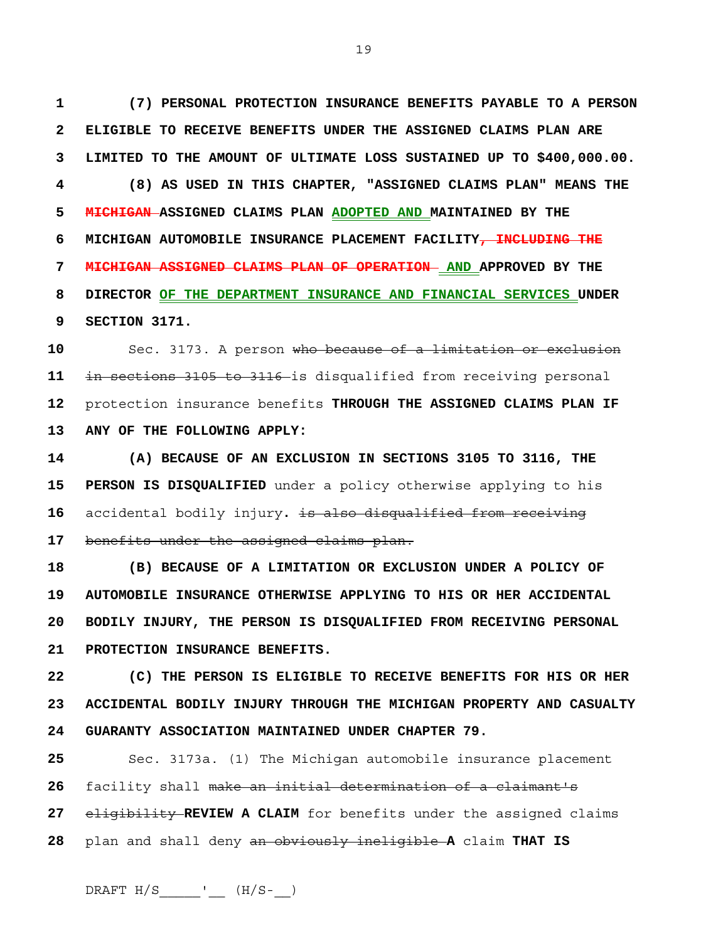**1 (7) PERSONAL PROTECTION INSURANCE BENEFITS PAYABLE TO A PERSON 2 ELIGIBLE TO RECEIVE BENEFITS UNDER THE ASSIGNED CLAIMS PLAN ARE 3 LIMITED TO THE AMOUNT OF ULTIMATE LOSS SUSTAINED UP TO \$400,000.00. 4 (8) AS USED IN THIS CHAPTER, "ASSIGNED CLAIMS PLAN" MEANS THE 5 MICHIGAN ASSIGNED CLAIMS PLAN ADOPTED AND MAINTAINED BY THE 6 MICHIGAN AUTOMOBILE INSURANCE PLACEMENT FACILITY, INCLUDING THE 7 MICHIGAN ASSIGNED CLAIMS PLAN OF OPERATION AND APPROVED BY THE 8 DIRECTOR OF THE DEPARTMENT INSURANCE AND FINANCIAL SERVICES UNDER 9 SECTION 3171.**

Sec. 3173. A person who because of a limitation or exclusion in sections 3105 to 3116 is disqualified from receiving personal protection insurance benefits **THROUGH THE ASSIGNED CLAIMS PLAN IF 13 ANY OF THE FOLLOWING APPLY:**

**14 (A) BECAUSE OF AN EXCLUSION IN SECTIONS 3105 TO 3116, THE 15 PERSON IS DISQUALIFIED** under a policy otherwise applying to his **16** accidental bodily injury**.** is also disqualified from receiving **17** benefits under the assigned claims plan.

**18 (B) BECAUSE OF A LIMITATION OR EXCLUSION UNDER A POLICY OF 19 AUTOMOBILE INSURANCE OTHERWISE APPLYING TO HIS OR HER ACCIDENTAL 20 BODILY INJURY, THE PERSON IS DISQUALIFIED FROM RECEIVING PERSONAL 21 PROTECTION INSURANCE BENEFITS.**

**22 (C) THE PERSON IS ELIGIBLE TO RECEIVE BENEFITS FOR HIS OR HER 23 ACCIDENTAL BODILY INJURY THROUGH THE MICHIGAN PROPERTY AND CASUALTY 24 GUARANTY ASSOCIATION MAINTAINED UNDER CHAPTER 79.**

Sec. 3173a. (1) The Michigan automobile insurance placement facility shall make an initial determination of a claimant's eligibility **REVIEW A CLAIM** for benefits under the assigned claims plan and shall deny an obviously ineligible **A** claim **THAT IS** 

19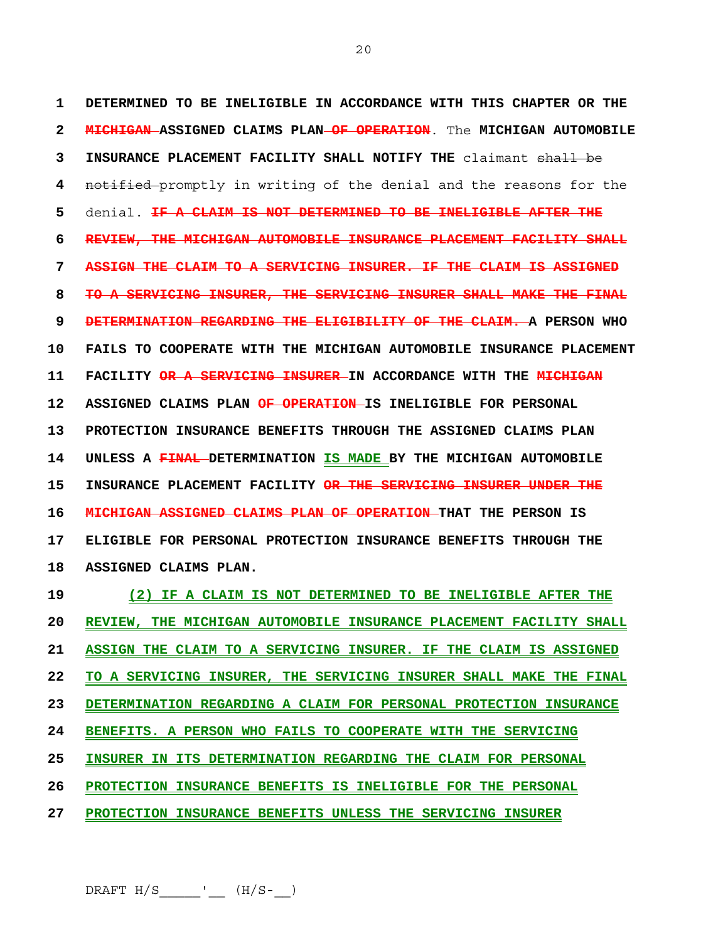**1 DETERMINED TO BE INELIGIBLE IN ACCORDANCE WITH THIS CHAPTER OR THE 2 MICHIGAN ASSIGNED CLAIMS PLAN OF OPERATION**. The **MICHIGAN AUTOMOBILE 3 INSURANCE PLACEMENT FACILITY SHALL NOTIFY THE** claimant shall be **4** notified promptly in writing of the denial and the reasons for the **5** denial. **IF A CLAIM IS NOT DETERMINED TO BE INELIGIBLE AFTER THE 6 REVIEW, THE MICHIGAN AUTOMOBILE INSURANCE PLACEMENT FACILITY SHALL 7 ASSIGN THE CLAIM TO A SERVICING INSURER. IF THE CLAIM IS ASSIGNED 8 TO A SERVICING INSURER, THE SERVICING INSURER SHALL MAKE THE FINAL 9 DETERMINATION REGARDING THE ELIGIBILITY OF THE CLAIM. A PERSON WHO 10 FAILS TO COOPERATE WITH THE MICHIGAN AUTOMOBILE INSURANCE PLACEMENT 11 FACILITY OR A SERVICING INSURER IN ACCORDANCE WITH THE MICHIGAN 12 ASSIGNED CLAIMS PLAN OF OPERATION IS INELIGIBLE FOR PERSONAL 13 PROTECTION INSURANCE BENEFITS THROUGH THE ASSIGNED CLAIMS PLAN 14 UNLESS A FINAL DETERMINATION IS MADE BY THE MICHIGAN AUTOMOBILE 15 INSURANCE PLACEMENT FACILITY OR THE SERVICING INSURER UNDER THE 16 MICHIGAN ASSIGNED CLAIMS PLAN OF OPERATION THAT THE PERSON IS 17 ELIGIBLE FOR PERSONAL PROTECTION INSURANCE BENEFITS THROUGH THE 18 ASSIGNED CLAIMS PLAN.**

**19 (2) IF A CLAIM IS NOT DETERMINED TO BE INELIGIBLE AFTER THE 20 REVIEW, THE MICHIGAN AUTOMOBILE INSURANCE PLACEMENT FACILITY SHALL 21 ASSIGN THE CLAIM TO A SERVICING INSURER. IF THE CLAIM IS ASSIGNED 22 TO A SERVICING INSURER, THE SERVICING INSURER SHALL MAKE THE FINAL 23 DETERMINATION REGARDING A CLAIM FOR PERSONAL PROTECTION INSURANCE 24 BENEFITS. A PERSON WHO FAILS TO COOPERATE WITH THE SERVICING 25 INSURER IN ITS DETERMINATION REGARDING THE CLAIM FOR PERSONAL 26 PROTECTION INSURANCE BENEFITS IS INELIGIBLE FOR THE PERSONAL 27 PROTECTION INSURANCE BENEFITS UNLESS THE SERVICING INSURER** 

20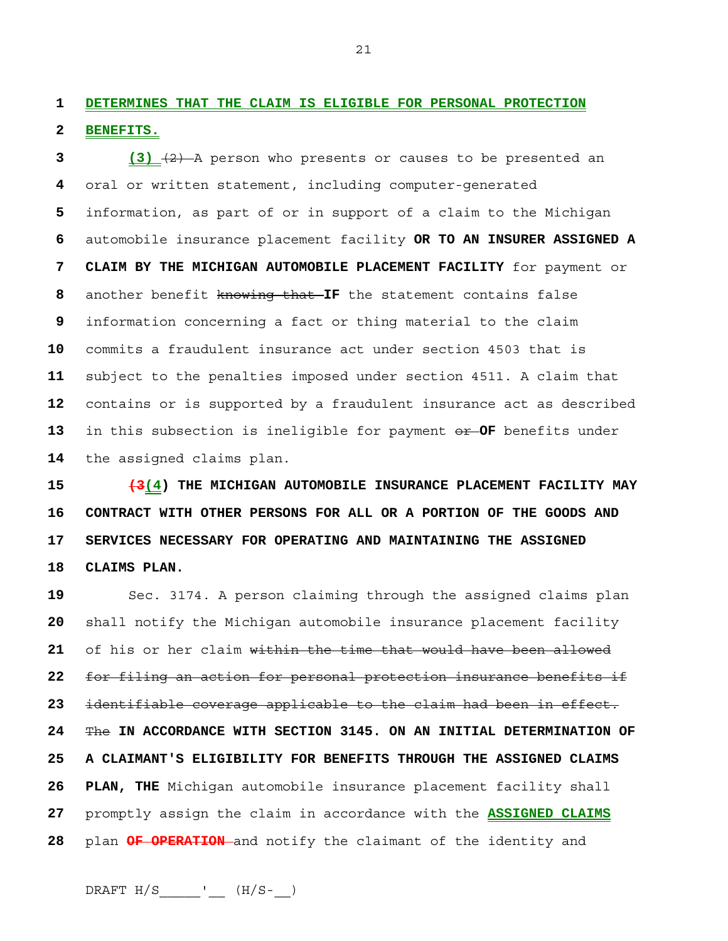**1 DETERMINES THAT THE CLAIM IS ELIGIBLE FOR PERSONAL PROTECTION 2 BENEFITS.**

**3 (3)** (2) A person who presents or causes to be presented an oral or written statement, including computer-generated information, as part of or in support of a claim to the Michigan automobile insurance placement facility **OR TO AN INSURER ASSIGNED A 7 CLAIM BY THE MICHIGAN AUTOMOBILE PLACEMENT FACILITY** for payment or another benefit knowing that **IF** the statement contains false information concerning a fact or thing material to the claim commits a fraudulent insurance act under section 4503 that is subject to the penalties imposed under section 4511. A claim that contains or is supported by a fraudulent insurance act as described in this subsection is ineligible for payment or **OF** benefits under the assigned claims plan.

**15 (3(4) THE MICHIGAN AUTOMOBILE INSURANCE PLACEMENT FACILITY MAY 16 CONTRACT WITH OTHER PERSONS FOR ALL OR A PORTION OF THE GOODS AND 17 SERVICES NECESSARY FOR OPERATING AND MAINTAINING THE ASSIGNED 18 CLAIMS PLAN.** 

Sec. 3174. A person claiming through the assigned claims plan shall notify the Michigan automobile insurance placement facility of his or her claim within the time that would have been allowed for filing an action for personal protection insurance benefits if identifiable coverage applicable to the claim had been in effect. The **IN ACCORDANCE WITH SECTION 3145. ON AN INITIAL DETERMINATION OF 25 A CLAIMANT'S ELIGIBILITY FOR BENEFITS THROUGH THE ASSIGNED CLAIMS 26 PLAN, THE** Michigan automobile insurance placement facility shall promptly assign the claim in accordance with the **ASSIGNED CLAIMS**  plan **OF OPERATION** and notify the claimant of the identity and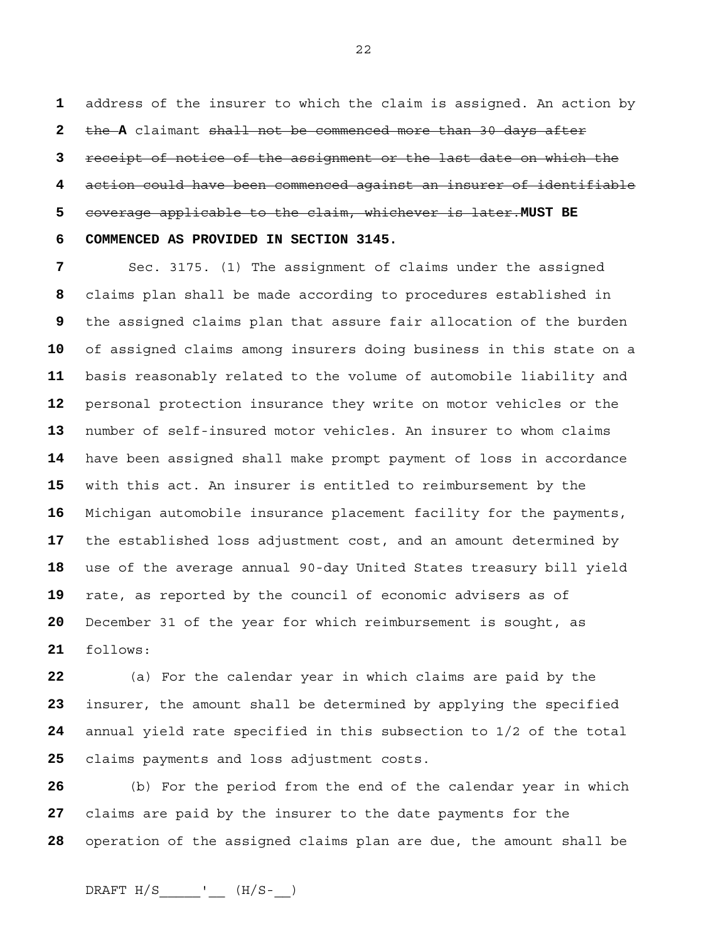address of the insurer to which the claim is assigned. An action by the **A** claimant shall not be commenced more than 30 days after receipt of notice of the assignment or the last date on which the action could have been commenced against an insurer of identifiable coverage applicable to the claim, whichever is later.**MUST BE 6 COMMENCED AS PROVIDED IN SECTION 3145.**

Sec. 3175. (1) The assignment of claims under the assigned claims plan shall be made according to procedures established in the assigned claims plan that assure fair allocation of the burden of assigned claims among insurers doing business in this state on a basis reasonably related to the volume of automobile liability and personal protection insurance they write on motor vehicles or the number of self-insured motor vehicles. An insurer to whom claims have been assigned shall make prompt payment of loss in accordance with this act. An insurer is entitled to reimbursement by the Michigan automobile insurance placement facility for the payments, the established loss adjustment cost, and an amount determined by use of the average annual 90-day United States treasury bill yield rate, as reported by the council of economic advisers as of December 31 of the year for which reimbursement is sought, as follows:

(a) For the calendar year in which claims are paid by the insurer, the amount shall be determined by applying the specified annual yield rate specified in this subsection to 1/2 of the total claims payments and loss adjustment costs.

(b) For the period from the end of the calendar year in which claims are paid by the insurer to the date payments for the operation of the assigned claims plan are due, the amount shall be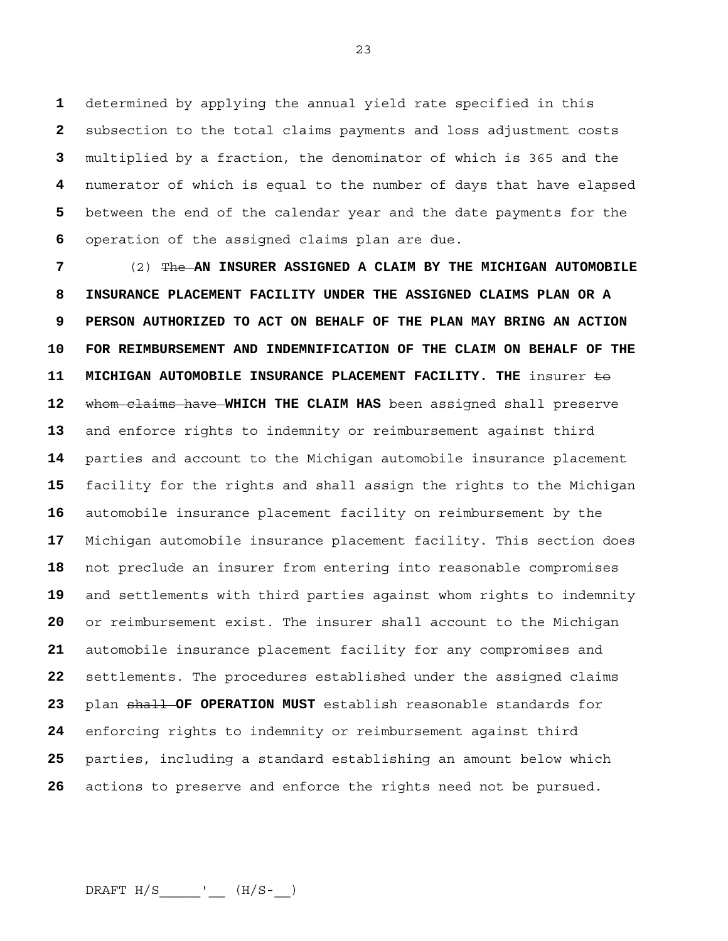determined by applying the annual yield rate specified in this subsection to the total claims payments and loss adjustment costs multiplied by a fraction, the denominator of which is 365 and the numerator of which is equal to the number of days that have elapsed between the end of the calendar year and the date payments for the operation of the assigned claims plan are due.

(2) The **AN INSURER ASSIGNED A CLAIM BY THE MICHIGAN AUTOMOBILE 8 INSURANCE PLACEMENT FACILITY UNDER THE ASSIGNED CLAIMS PLAN OR A 9 PERSON AUTHORIZED TO ACT ON BEHALF OF THE PLAN MAY BRING AN ACTION 10 FOR REIMBURSEMENT AND INDEMNIFICATION OF THE CLAIM ON BEHALF OF THE 11 MICHIGAN AUTOMOBILE INSURANCE PLACEMENT FACILITY. THE** insurer to whom claims have **WHICH THE CLAIM HAS** been assigned shall preserve and enforce rights to indemnity or reimbursement against third parties and account to the Michigan automobile insurance placement facility for the rights and shall assign the rights to the Michigan automobile insurance placement facility on reimbursement by the Michigan automobile insurance placement facility. This section does not preclude an insurer from entering into reasonable compromises and settlements with third parties against whom rights to indemnity or reimbursement exist. The insurer shall account to the Michigan automobile insurance placement facility for any compromises and settlements. The procedures established under the assigned claims plan shall **OF OPERATION MUST** establish reasonable standards for enforcing rights to indemnity or reimbursement against third parties, including a standard establishing an amount below which actions to preserve and enforce the rights need not be pursued.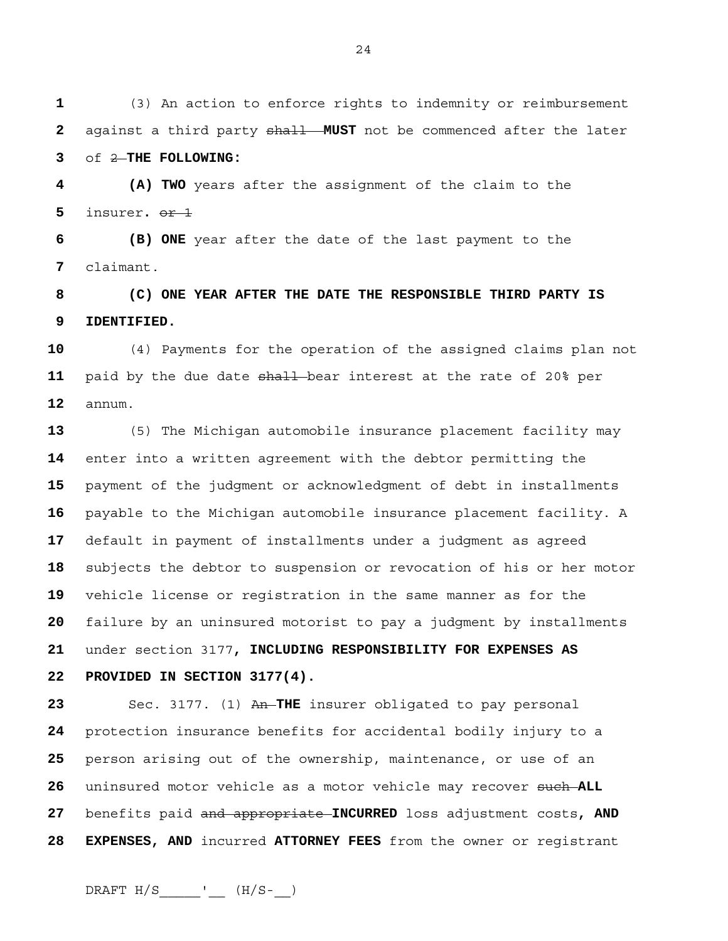(3) An action to enforce rights to indemnity or reimbursement against a third party shall **MUST** not be commenced after the later of 2 **THE FOLLOWING:** 

**4 (A) TWO** years after the assignment of the claim to the insurer**.** or 1

**6 (B) ONE** year after the date of the last payment to the claimant.

**8 (C) ONE YEAR AFTER THE DATE THE RESPONSIBLE THIRD PARTY IS 9 IDENTIFIED.**

(4) Payments for the operation of the assigned claims plan not paid by the due date shall bear interest at the rate of 20% per annum.

(5) The Michigan automobile insurance placement facility may enter into a written agreement with the debtor permitting the payment of the judgment or acknowledgment of debt in installments payable to the Michigan automobile insurance placement facility. A default in payment of installments under a judgment as agreed subjects the debtor to suspension or revocation of his or her motor vehicle license or registration in the same manner as for the failure by an uninsured motorist to pay a judgment by installments under section 3177**, INCLUDING RESPONSIBILITY FOR EXPENSES AS 22 PROVIDED IN SECTION 3177(4).**

 Sec. 3177. (1) An THE insurer obligated to pay personal protection insurance benefits for accidental bodily injury to a person arising out of the ownership, maintenance, or use of an uninsured motor vehicle as a motor vehicle may recover such **ALL** benefits paid and appropriate **INCURRED** loss adjustment costs**, AND 28 EXPENSES, AND** incurred **ATTORNEY FEES** from the owner or registrant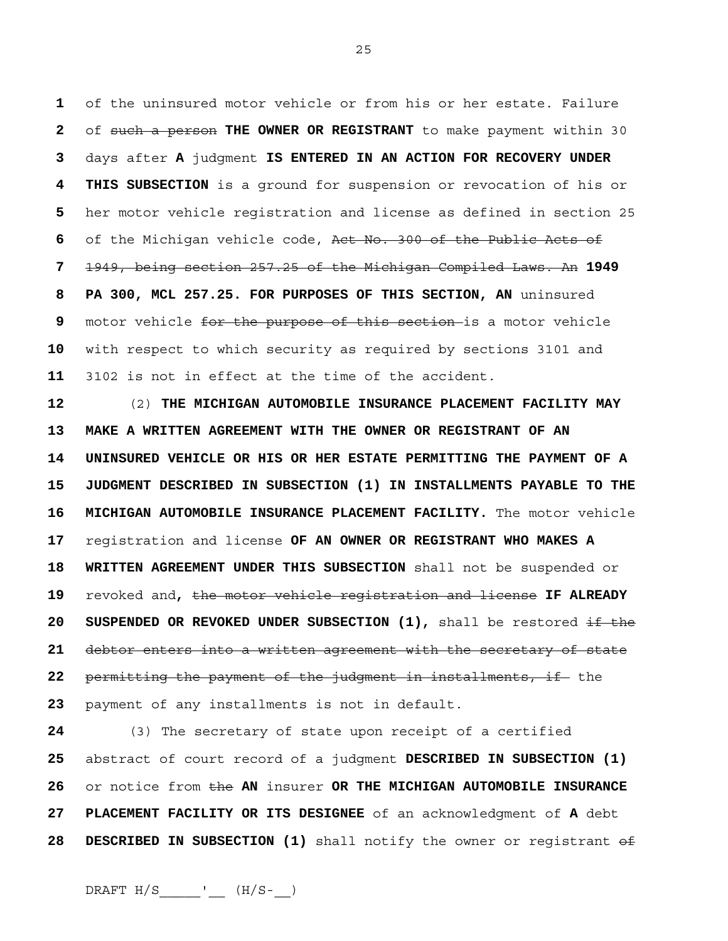of the uninsured motor vehicle or from his or her estate. Failure of such a person **THE OWNER OR REGISTRANT** to make payment within 30 days after **A** judgment **IS ENTERED IN AN ACTION FOR RECOVERY UNDER 4 THIS SUBSECTION** is a ground for suspension or revocation of his or her motor vehicle registration and license as defined in section 25 of the Michigan vehicle code, Act No. 300 of the Public Acts of 1949, being section 257.25 of the Michigan Compiled Laws. An **1949 8 PA 300, MCL 257.25. FOR PURPOSES OF THIS SECTION, AN** uninsured motor vehicle for the purpose of this section is a motor vehicle with respect to which security as required by sections 3101 and 3102 is not in effect at the time of the accident.

**12** (2) **THE MICHIGAN AUTOMOBILE INSURANCE PLACEMENT FACILITY MAY 13 MAKE A WRITTEN AGREEMENT WITH THE OWNER OR REGISTRANT OF AN 14 UNINSURED VEHICLE OR HIS OR HER ESTATE PERMITTING THE PAYMENT OF A 15 JUDGMENT DESCRIBED IN SUBSECTION (1) IN INSTALLMENTS PAYABLE TO THE 16 MICHIGAN AUTOMOBILE INSURANCE PLACEMENT FACILITY.** The motor vehicle **17** registration and license **OF AN OWNER OR REGISTRANT WHO MAKES A 18 WRITTEN AGREEMENT UNDER THIS SUBSECTION** shall not be suspended or **19** revoked and**,** the motor vehicle registration and license **IF ALREADY 20 SUSPENDED OR REVOKED UNDER SUBSECTION (1), shall be restored if the 21** debtor enters into a written agreement with the secretary of state 22 permitting the payment of the judgment in installments, if the **23** payment of any installments is not in default.

**24** (3) The secretary of state upon receipt of a certified **25** abstract of court record of a judgment **DESCRIBED IN SUBSECTION (1) 26** or notice from the **AN** insurer **OR THE MICHIGAN AUTOMOBILE INSURANCE 27 PLACEMENT FACILITY OR ITS DESIGNEE** of an acknowledgment of **A** debt **28 DESCRIBED IN SUBSECTION (1)** shall notify the owner or registrant of

25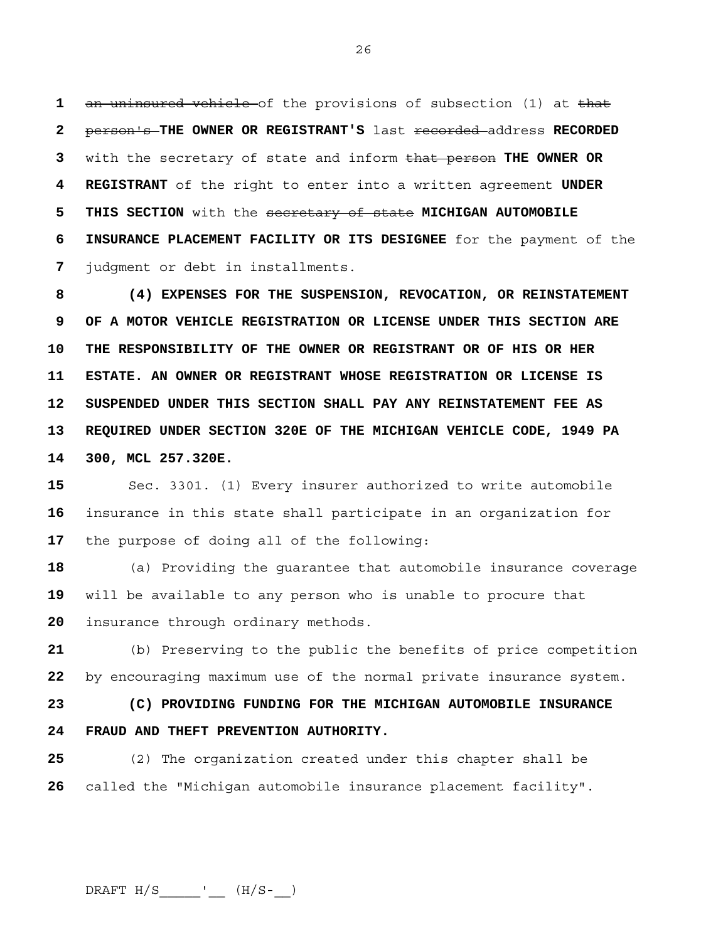**1** an uninsured vehicle of the provisions of subsection (1) at that **2** person's **THE OWNER OR REGISTRANT'S** last recorded address **RECORDED 3** with the secretary of state and inform that person **THE OWNER OR 4 REGISTRANT** of the right to enter into a written agreement **UNDER 5 THIS SECTION** with the secretary of state **MICHIGAN AUTOMOBILE 6 INSURANCE PLACEMENT FACILITY OR ITS DESIGNEE** for the payment of the **7** judgment or debt in installments.

**8 (4) EXPENSES FOR THE SUSPENSION, REVOCATION, OR REINSTATEMENT 9 OF A MOTOR VEHICLE REGISTRATION OR LICENSE UNDER THIS SECTION ARE 10 THE RESPONSIBILITY OF THE OWNER OR REGISTRANT OR OF HIS OR HER 11 ESTATE. AN OWNER OR REGISTRANT WHOSE REGISTRATION OR LICENSE IS 12 SUSPENDED UNDER THIS SECTION SHALL PAY ANY REINSTATEMENT FEE AS 13 REQUIRED UNDER SECTION 320E OF THE MICHIGAN VEHICLE CODE, 1949 PA 14 300, MCL 257.320E.** 

**15** Sec. 3301. (1) Every insurer authorized to write automobile **16** insurance in this state shall participate in an organization for **17** the purpose of doing all of the following:

**18** (a) Providing the guarantee that automobile insurance coverage **19** will be available to any person who is unable to procure that **20** insurance through ordinary methods.

**21** (b) Preserving to the public the benefits of price competition **22** by encouraging maximum use of the normal private insurance system.

**23 (C) PROVIDING FUNDING FOR THE MICHIGAN AUTOMOBILE INSURANCE 24 FRAUD AND THEFT PREVENTION AUTHORITY.**

**25** (2) The organization created under this chapter shall be **26** called the "Michigan automobile insurance placement facility".

26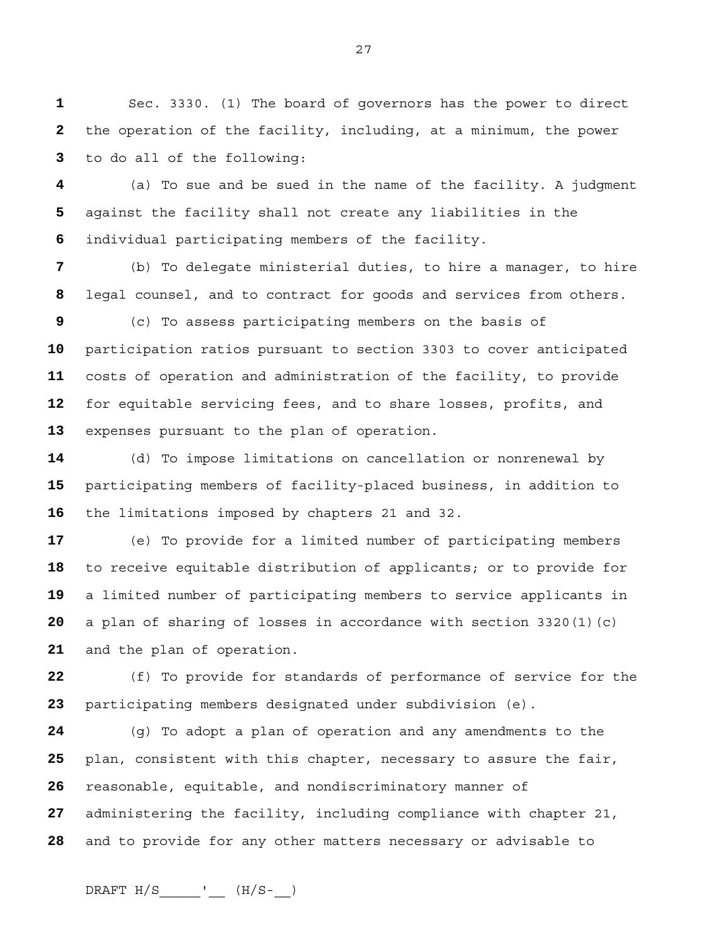Sec. 3330. (1) The board of governors has the power to direct the operation of the facility, including, at a minimum, the power to do all of the following:

(a) To sue and be sued in the name of the facility. A judgment against the facility shall not create any liabilities in the individual participating members of the facility.

(b) To delegate ministerial duties, to hire a manager, to hire legal counsel, and to contract for goods and services from others.

(c) To assess participating members on the basis of participation ratios pursuant to section 3303 to cover anticipated costs of operation and administration of the facility, to provide for equitable servicing fees, and to share losses, profits, and expenses pursuant to the plan of operation.

(d) To impose limitations on cancellation or nonrenewal by participating members of facility-placed business, in addition to the limitations imposed by chapters 21 and 32.

(e) To provide for a limited number of participating members to receive equitable distribution of applicants; or to provide for a limited number of participating members to service applicants in a plan of sharing of losses in accordance with section 3320(1)(c) and the plan of operation.

(f) To provide for standards of performance of service for the participating members designated under subdivision (e).

(g) To adopt a plan of operation and any amendments to the plan, consistent with this chapter, necessary to assure the fair, reasonable, equitable, and nondiscriminatory manner of administering the facility, including compliance with chapter 21, and to provide for any other matters necessary or advisable to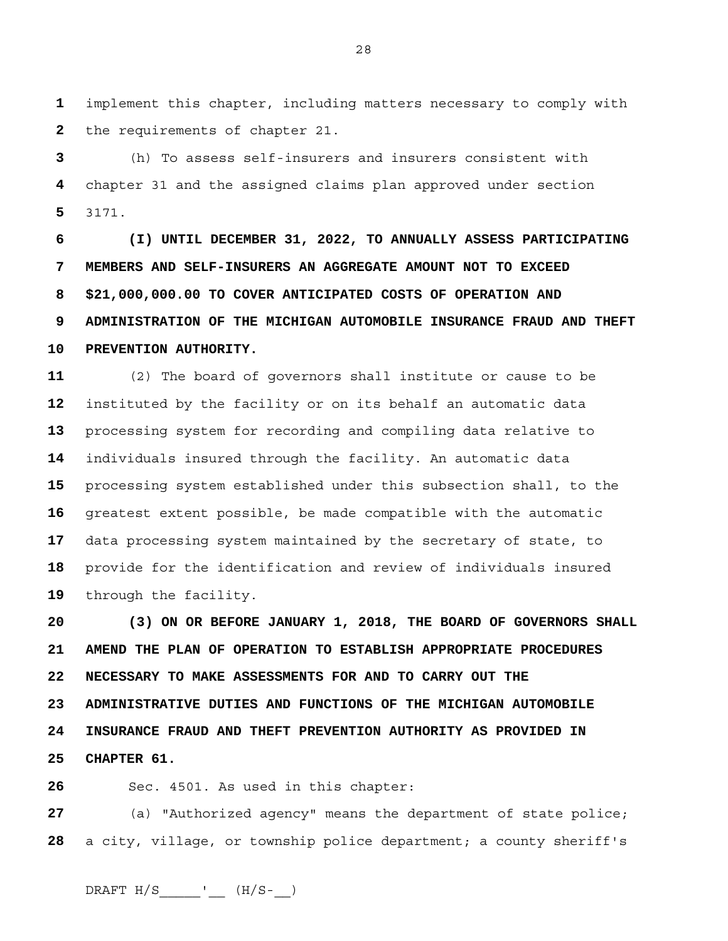**1** implement this chapter, including matters necessary to comply with **2** the requirements of chapter 21.

**3** (h) To assess self-insurers and insurers consistent with **4** chapter 31 and the assigned claims plan approved under section **5** 3171.

**6 (I) UNTIL DECEMBER 31, 2022, TO ANNUALLY ASSESS PARTICIPATING 7 MEMBERS AND SELF-INSURERS AN AGGREGATE AMOUNT NOT TO EXCEED 8 \$21,000,000.00 TO COVER ANTICIPATED COSTS OF OPERATION AND 9 ADMINISTRATION OF THE MICHIGAN AUTOMOBILE INSURANCE FRAUD AND THEFT 10 PREVENTION AUTHORITY.** 

(2) The board of governors shall institute or cause to be instituted by the facility or on its behalf an automatic data processing system for recording and compiling data relative to individuals insured through the facility. An automatic data processing system established under this subsection shall, to the greatest extent possible, be made compatible with the automatic data processing system maintained by the secretary of state, to provide for the identification and review of individuals insured through the facility.

**20 (3) ON OR BEFORE JANUARY 1, 2018, THE BOARD OF GOVERNORS SHALL 21 AMEND THE PLAN OF OPERATION TO ESTABLISH APPROPRIATE PROCEDURES 22 NECESSARY TO MAKE ASSESSMENTS FOR AND TO CARRY OUT THE 23 ADMINISTRATIVE DUTIES AND FUNCTIONS OF THE MICHIGAN AUTOMOBILE 24 INSURANCE FRAUD AND THEFT PREVENTION AUTHORITY AS PROVIDED IN 25 CHAPTER 61.**

**26** Sec. 4501. As used in this chapter:

**27** (a) "Authorized agency" means the department of state police; **28** a city, village, or township police department; a county sheriff's

DRAFT  $H/S$  \_\_\_\_\_\_\_\_'\_\_\_ ( $H/S$ -\_\_)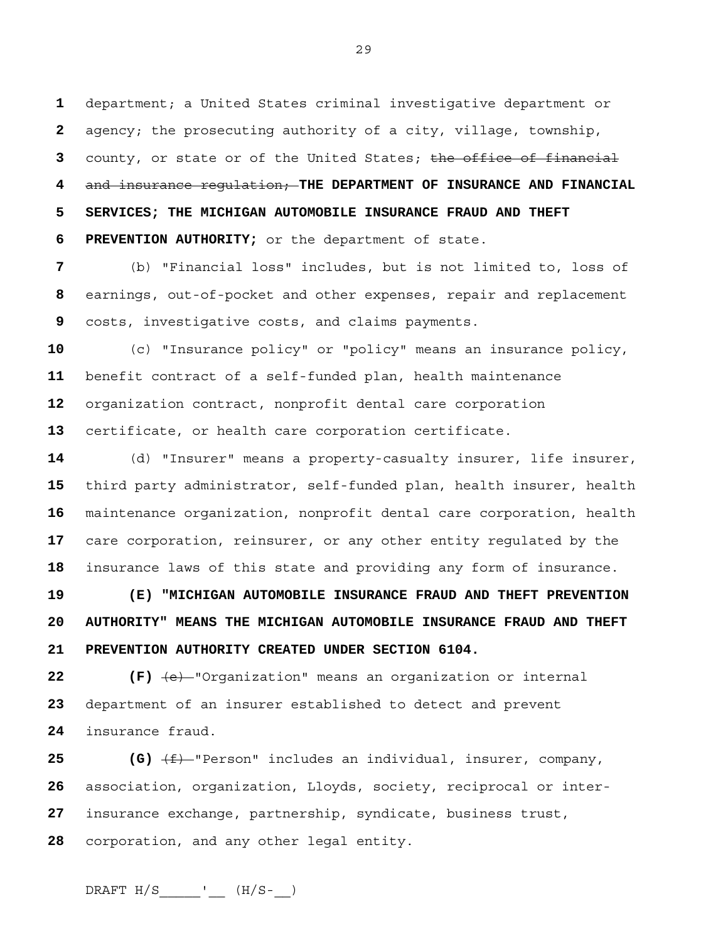department; a United States criminal investigative department or agency; the prosecuting authority of a city, village, township, county, or state or of the United States; the office of financial and insurance regulation; **THE DEPARTMENT OF INSURANCE AND FINANCIAL 5 SERVICES; THE MICHIGAN AUTOMOBILE INSURANCE FRAUD AND THEFT 6 PREVENTION AUTHORITY;** or the department of state.

(b) "Financial loss" includes, but is not limited to, loss of earnings, out-of-pocket and other expenses, repair and replacement costs, investigative costs, and claims payments.

(c) "Insurance policy" or "policy" means an insurance policy, benefit contract of a self-funded plan, health maintenance organization contract, nonprofit dental care corporation certificate, or health care corporation certificate.

(d) "Insurer" means a property-casualty insurer, life insurer, third party administrator, self-funded plan, health insurer, health maintenance organization, nonprofit dental care corporation, health care corporation, reinsurer, or any other entity regulated by the insurance laws of this state and providing any form of insurance.

**19 (E) "MICHIGAN AUTOMOBILE INSURANCE FRAUD AND THEFT PREVENTION 20 AUTHORITY" MEANS THE MICHIGAN AUTOMOBILE INSURANCE FRAUD AND THEFT 21 PREVENTION AUTHORITY CREATED UNDER SECTION 6104.**

**22 (F)**  $\left(\frac{e}{r}\right)$  "Organization" means an organization or internal department of an insurer established to detect and prevent insurance fraud.

**25 (G)** (f) "Person" includes an individual, insurer, company, association, organization, Lloyds, society, reciprocal or inter-insurance exchange, partnership, syndicate, business trust, corporation, and any other legal entity.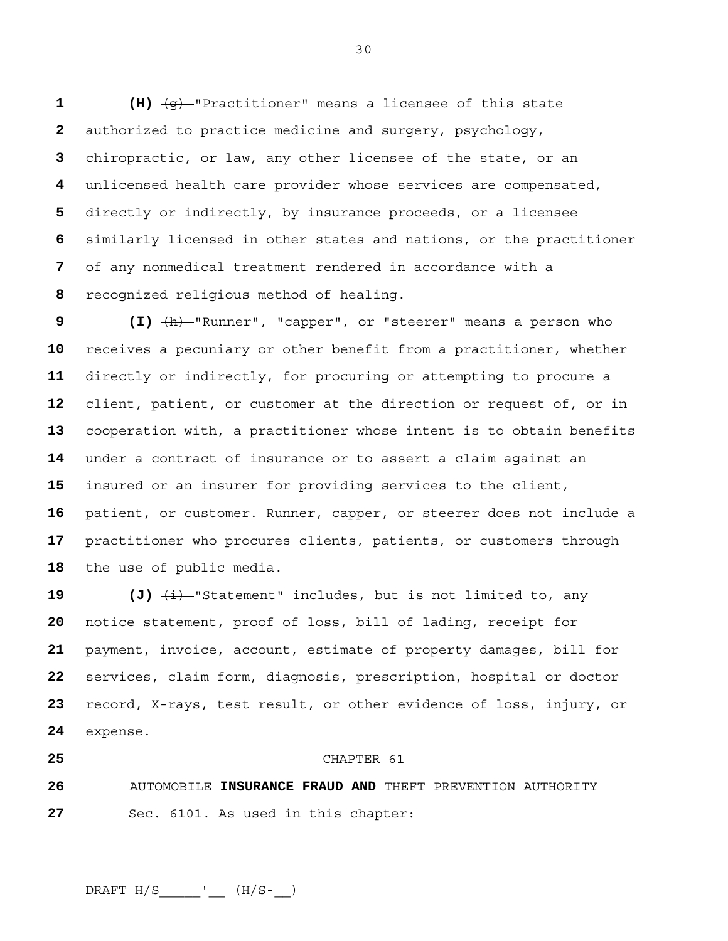**1 (H)** (g) "Practitioner" means a licensee of this state authorized to practice medicine and surgery, psychology, chiropractic, or law, any other licensee of the state, or an unlicensed health care provider whose services are compensated, directly or indirectly, by insurance proceeds, or a licensee similarly licensed in other states and nations, or the practitioner of any nonmedical treatment rendered in accordance with a recognized religious method of healing.

**9 (I)** (h) "Runner", "capper", or "steerer" means a person who receives a pecuniary or other benefit from a practitioner, whether directly or indirectly, for procuring or attempting to procure a client, patient, or customer at the direction or request of, or in cooperation with, a practitioner whose intent is to obtain benefits under a contract of insurance or to assert a claim against an insured or an insurer for providing services to the client, patient, or customer. Runner, capper, or steerer does not include a practitioner who procures clients, patients, or customers through the use of public media.

 (J)  $\frac{1}{i}$  statement" includes, but is not limited to, any notice statement, proof of loss, bill of lading, receipt for payment, invoice, account, estimate of property damages, bill for services, claim form, diagnosis, prescription, hospital or doctor record, X-rays, test result, or other evidence of loss, injury, or expense.

## CHAPTER 61

AUTOMOBILE **INSURANCE FRAUD AND** THEFT PREVENTION AUTHORITY Sec. 6101. As used in this chapter:

 $DRAPT H/S$  \_\_\_\_\_\_\_'\_\_\_ (H/S-\_\_)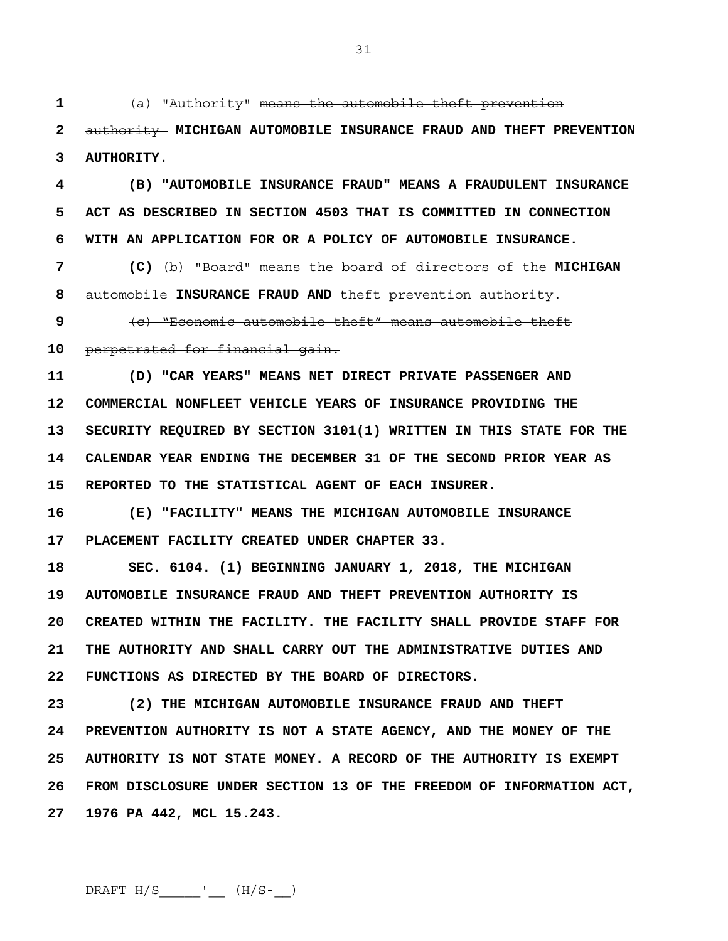31

**1** (a) "Authority" means the automobile theft prevention

**2** authority **MICHIGAN AUTOMOBILE INSURANCE FRAUD AND THEFT PREVENTION 3 AUTHORITY.**

**4 (B) "AUTOMOBILE INSURANCE FRAUD" MEANS A FRAUDULENT INSURANCE 5 ACT AS DESCRIBED IN SECTION 4503 THAT IS COMMITTED IN CONNECTION 6 WITH AN APPLICATION FOR OR A POLICY OF AUTOMOBILE INSURANCE.**

**7 (C)** (b) "Board" means the board of directors of the **MICHIGAN 8** automobile **INSURANCE FRAUD AND** theft prevention authority.

**9** (c) "Economic automobile theft" means automobile theft **10** perpetrated for financial gain.

**11 (D) "CAR YEARS" MEANS NET DIRECT PRIVATE PASSENGER AND 12 COMMERCIAL NONFLEET VEHICLE YEARS OF INSURANCE PROVIDING THE 13 SECURITY REQUIRED BY SECTION 3101(1) WRITTEN IN THIS STATE FOR THE 14 CALENDAR YEAR ENDING THE DECEMBER 31 OF THE SECOND PRIOR YEAR AS 15 REPORTED TO THE STATISTICAL AGENT OF EACH INSURER.**

**16 (E) "FACILITY" MEANS THE MICHIGAN AUTOMOBILE INSURANCE 17 PLACEMENT FACILITY CREATED UNDER CHAPTER 33.** 

**18 SEC. 6104. (1) BEGINNING JANUARY 1, 2018, THE MICHIGAN 19 AUTOMOBILE INSURANCE FRAUD AND THEFT PREVENTION AUTHORITY IS 20 CREATED WITHIN THE FACILITY. THE FACILITY SHALL PROVIDE STAFF FOR 21 THE AUTHORITY AND SHALL CARRY OUT THE ADMINISTRATIVE DUTIES AND 22 FUNCTIONS AS DIRECTED BY THE BOARD OF DIRECTORS.** 

**23 (2) THE MICHIGAN AUTOMOBILE INSURANCE FRAUD AND THEFT 24 PREVENTION AUTHORITY IS NOT A STATE AGENCY, AND THE MONEY OF THE 25 AUTHORITY IS NOT STATE MONEY. A RECORD OF THE AUTHORITY IS EXEMPT 26 FROM DISCLOSURE UNDER SECTION 13 OF THE FREEDOM OF INFORMATION ACT, 27 1976 PA 442, MCL 15.243.**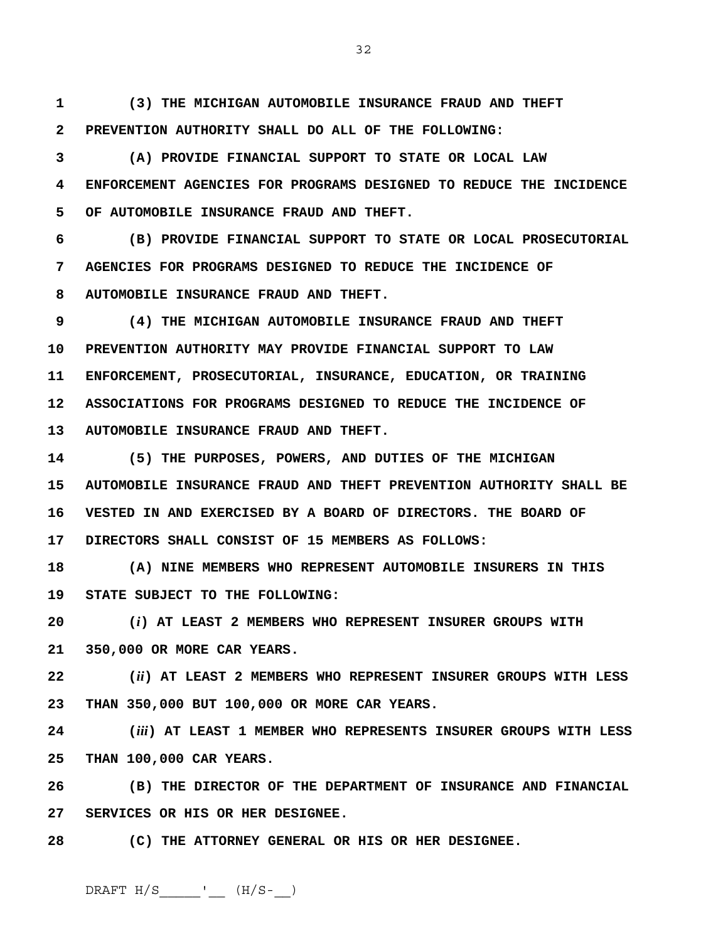**1 (3) THE MICHIGAN AUTOMOBILE INSURANCE FRAUD AND THEFT 2 PREVENTION AUTHORITY SHALL DO ALL OF THE FOLLOWING:** 

**3 (A) PROVIDE FINANCIAL SUPPORT TO STATE OR LOCAL LAW 4 ENFORCEMENT AGENCIES FOR PROGRAMS DESIGNED TO REDUCE THE INCIDENCE 5 OF AUTOMOBILE INSURANCE FRAUD AND THEFT.** 

**6 (B) PROVIDE FINANCIAL SUPPORT TO STATE OR LOCAL PROSECUTORIAL 7 AGENCIES FOR PROGRAMS DESIGNED TO REDUCE THE INCIDENCE OF 8 AUTOMOBILE INSURANCE FRAUD AND THEFT.** 

**9 (4) THE MICHIGAN AUTOMOBILE INSURANCE FRAUD AND THEFT 10 PREVENTION AUTHORITY MAY PROVIDE FINANCIAL SUPPORT TO LAW 11 ENFORCEMENT, PROSECUTORIAL, INSURANCE, EDUCATION, OR TRAINING 12 ASSOCIATIONS FOR PROGRAMS DESIGNED TO REDUCE THE INCIDENCE OF 13 AUTOMOBILE INSURANCE FRAUD AND THEFT.** 

**14 (5) THE PURPOSES, POWERS, AND DUTIES OF THE MICHIGAN 15 AUTOMOBILE INSURANCE FRAUD AND THEFT PREVENTION AUTHORITY SHALL BE 16 VESTED IN AND EXERCISED BY A BOARD OF DIRECTORS. THE BOARD OF 17 DIRECTORS SHALL CONSIST OF 15 MEMBERS AS FOLLOWS:** 

**18 (A) NINE MEMBERS WHO REPRESENT AUTOMOBILE INSURERS IN THIS 19 STATE SUBJECT TO THE FOLLOWING:** 

**20 (***i***) AT LEAST 2 MEMBERS WHO REPRESENT INSURER GROUPS WITH 21 350,000 OR MORE CAR YEARS.** 

**22 (***ii***) AT LEAST 2 MEMBERS WHO REPRESENT INSURER GROUPS WITH LESS 23 THAN 350,000 BUT 100,000 OR MORE CAR YEARS.** 

**24 (***iii***) AT LEAST 1 MEMBER WHO REPRESENTS INSURER GROUPS WITH LESS 25 THAN 100,000 CAR YEARS.** 

**26 (B) THE DIRECTOR OF THE DEPARTMENT OF INSURANCE AND FINANCIAL 27 SERVICES OR HIS OR HER DESIGNEE.** 

**28 (C) THE ATTORNEY GENERAL OR HIS OR HER DESIGNEE.** 

DRAFT  $H/S$  \_\_\_\_\_\_\_\_'\_\_\_ ( $H/S$ -\_\_)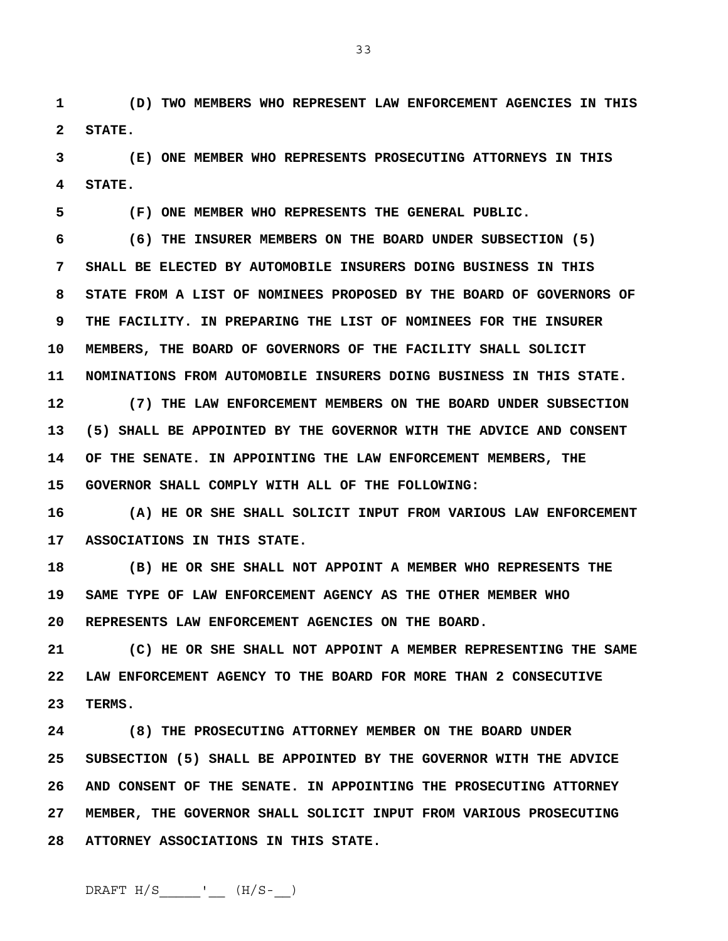**1 (D) TWO MEMBERS WHO REPRESENT LAW ENFORCEMENT AGENCIES IN THIS 2 STATE.** 

**3 (E) ONE MEMBER WHO REPRESENTS PROSECUTING ATTORNEYS IN THIS 4 STATE.** 

**5 (F) ONE MEMBER WHO REPRESENTS THE GENERAL PUBLIC.** 

**6 (6) THE INSURER MEMBERS ON THE BOARD UNDER SUBSECTION (5) 7 SHALL BE ELECTED BY AUTOMOBILE INSURERS DOING BUSINESS IN THIS 8 STATE FROM A LIST OF NOMINEES PROPOSED BY THE BOARD OF GOVERNORS OF 9 THE FACILITY. IN PREPARING THE LIST OF NOMINEES FOR THE INSURER 10 MEMBERS, THE BOARD OF GOVERNORS OF THE FACILITY SHALL SOLICIT 11 NOMINATIONS FROM AUTOMOBILE INSURERS DOING BUSINESS IN THIS STATE. 12 (7) THE LAW ENFORCEMENT MEMBERS ON THE BOARD UNDER SUBSECTION 13 (5) SHALL BE APPOINTED BY THE GOVERNOR WITH THE ADVICE AND CONSENT** 

**14 OF THE SENATE. IN APPOINTING THE LAW ENFORCEMENT MEMBERS, THE 15 GOVERNOR SHALL COMPLY WITH ALL OF THE FOLLOWING:** 

**16 (A) HE OR SHE SHALL SOLICIT INPUT FROM VARIOUS LAW ENFORCEMENT 17 ASSOCIATIONS IN THIS STATE.** 

**18 (B) HE OR SHE SHALL NOT APPOINT A MEMBER WHO REPRESENTS THE 19 SAME TYPE OF LAW ENFORCEMENT AGENCY AS THE OTHER MEMBER WHO 20 REPRESENTS LAW ENFORCEMENT AGENCIES ON THE BOARD.** 

**21 (C) HE OR SHE SHALL NOT APPOINT A MEMBER REPRESENTING THE SAME 22 LAW ENFORCEMENT AGENCY TO THE BOARD FOR MORE THAN 2 CONSECUTIVE 23 TERMS.** 

**24 (8) THE PROSECUTING ATTORNEY MEMBER ON THE BOARD UNDER 25 SUBSECTION (5) SHALL BE APPOINTED BY THE GOVERNOR WITH THE ADVICE 26 AND CONSENT OF THE SENATE. IN APPOINTING THE PROSECUTING ATTORNEY 27 MEMBER, THE GOVERNOR SHALL SOLICIT INPUT FROM VARIOUS PROSECUTING 28 ATTORNEY ASSOCIATIONS IN THIS STATE.** 

33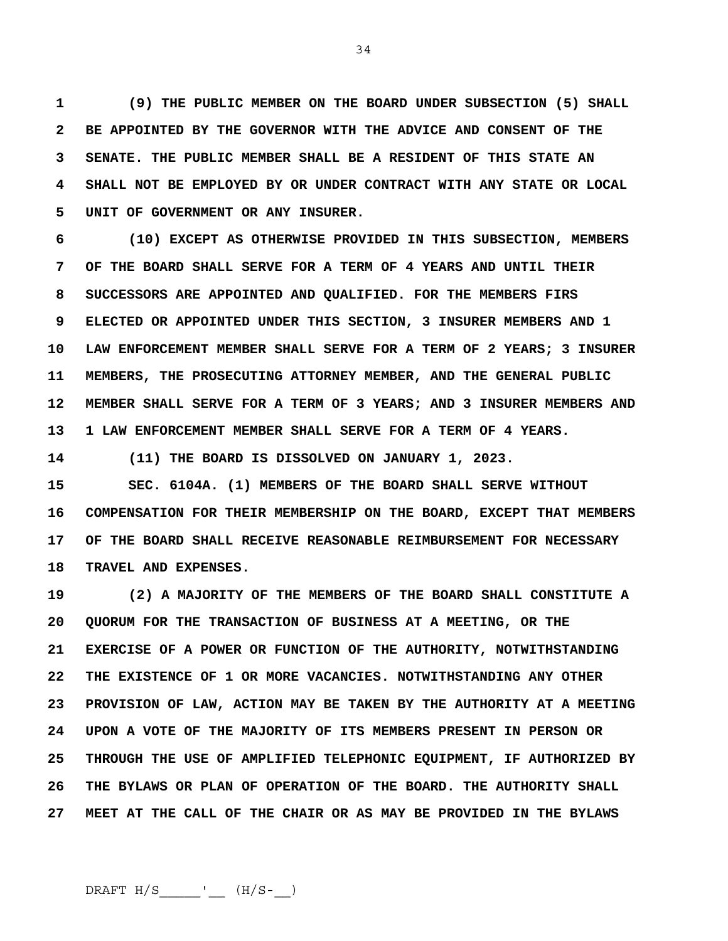**1 (9) THE PUBLIC MEMBER ON THE BOARD UNDER SUBSECTION (5) SHALL 2 BE APPOINTED BY THE GOVERNOR WITH THE ADVICE AND CONSENT OF THE 3 SENATE. THE PUBLIC MEMBER SHALL BE A RESIDENT OF THIS STATE AN 4 SHALL NOT BE EMPLOYED BY OR UNDER CONTRACT WITH ANY STATE OR LOCAL 5 UNIT OF GOVERNMENT OR ANY INSURER.** 

**6 (10) EXCEPT AS OTHERWISE PROVIDED IN THIS SUBSECTION, MEMBERS 7 OF THE BOARD SHALL SERVE FOR A TERM OF 4 YEARS AND UNTIL THEIR 8 SUCCESSORS ARE APPOINTED AND QUALIFIED. FOR THE MEMBERS FIRS 9 ELECTED OR APPOINTED UNDER THIS SECTION, 3 INSURER MEMBERS AND 1 10 LAW ENFORCEMENT MEMBER SHALL SERVE FOR A TERM OF 2 YEARS; 3 INSURER 11 MEMBERS, THE PROSECUTING ATTORNEY MEMBER, AND THE GENERAL PUBLIC 12 MEMBER SHALL SERVE FOR A TERM OF 3 YEARS; AND 3 INSURER MEMBERS AND 13 1 LAW ENFORCEMENT MEMBER SHALL SERVE FOR A TERM OF 4 YEARS.** 

**14 (11) THE BOARD IS DISSOLVED ON JANUARY 1, 2023.** 

**15 SEC. 6104A. (1) MEMBERS OF THE BOARD SHALL SERVE WITHOUT 16 COMPENSATION FOR THEIR MEMBERSHIP ON THE BOARD, EXCEPT THAT MEMBERS 17 OF THE BOARD SHALL RECEIVE REASONABLE REIMBURSEMENT FOR NECESSARY 18 TRAVEL AND EXPENSES.** 

**19 (2) A MAJORITY OF THE MEMBERS OF THE BOARD SHALL CONSTITUTE A 20 QUORUM FOR THE TRANSACTION OF BUSINESS AT A MEETING, OR THE 21 EXERCISE OF A POWER OR FUNCTION OF THE AUTHORITY, NOTWITHSTANDING 22 THE EXISTENCE OF 1 OR MORE VACANCIES. NOTWITHSTANDING ANY OTHER 23 PROVISION OF LAW, ACTION MAY BE TAKEN BY THE AUTHORITY AT A MEETING 24 UPON A VOTE OF THE MAJORITY OF ITS MEMBERS PRESENT IN PERSON OR 25 THROUGH THE USE OF AMPLIFIED TELEPHONIC EQUIPMENT, IF AUTHORIZED BY 26 THE BYLAWS OR PLAN OF OPERATION OF THE BOARD. THE AUTHORITY SHALL 27 MEET AT THE CALL OF THE CHAIR OR AS MAY BE PROVIDED IN THE BYLAWS** 

 $DRAPT H/S$  \_\_\_\_\_\_\_'\_\_\_ (H/S-\_\_)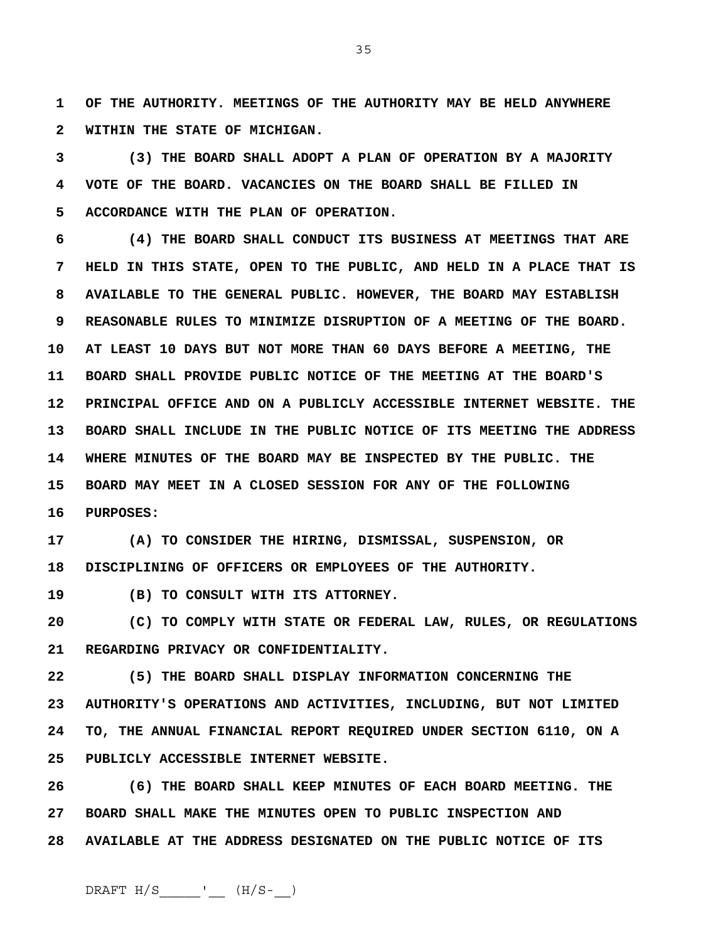**1 OF THE AUTHORITY. MEETINGS OF THE AUTHORITY MAY BE HELD ANYWHERE 2 WITHIN THE STATE OF MICHIGAN.** 

**3 (3) THE BOARD SHALL ADOPT A PLAN OF OPERATION BY A MAJORITY 4 VOTE OF THE BOARD. VACANCIES ON THE BOARD SHALL BE FILLED IN 5 ACCORDANCE WITH THE PLAN OF OPERATION.** 

**6 (4) THE BOARD SHALL CONDUCT ITS BUSINESS AT MEETINGS THAT ARE 7 HELD IN THIS STATE, OPEN TO THE PUBLIC, AND HELD IN A PLACE THAT IS 8 AVAILABLE TO THE GENERAL PUBLIC. HOWEVER, THE BOARD MAY ESTABLISH 9 REASONABLE RULES TO MINIMIZE DISRUPTION OF A MEETING OF THE BOARD. 10 AT LEAST 10 DAYS BUT NOT MORE THAN 60 DAYS BEFORE A MEETING, THE 11 BOARD SHALL PROVIDE PUBLIC NOTICE OF THE MEETING AT THE BOARD'S 12 PRINCIPAL OFFICE AND ON A PUBLICLY ACCESSIBLE INTERNET WEBSITE. THE 13 BOARD SHALL INCLUDE IN THE PUBLIC NOTICE OF ITS MEETING THE ADDRESS 14 WHERE MINUTES OF THE BOARD MAY BE INSPECTED BY THE PUBLIC. THE 15 BOARD MAY MEET IN A CLOSED SESSION FOR ANY OF THE FOLLOWING 16 PURPOSES:** 

**17 (A) TO CONSIDER THE HIRING, DISMISSAL, SUSPENSION, OR 18 DISCIPLINING OF OFFICERS OR EMPLOYEES OF THE AUTHORITY.** 

**19 (B) TO CONSULT WITH ITS ATTORNEY.** 

**20 (C) TO COMPLY WITH STATE OR FEDERAL LAW, RULES, OR REGULATIONS 21 REGARDING PRIVACY OR CONFIDENTIALITY.** 

**22 (5) THE BOARD SHALL DISPLAY INFORMATION CONCERNING THE 23 AUTHORITY'S OPERATIONS AND ACTIVITIES, INCLUDING, BUT NOT LIMITED 24 TO, THE ANNUAL FINANCIAL REPORT REQUIRED UNDER SECTION 6110, ON A 25 PUBLICLY ACCESSIBLE INTERNET WEBSITE.** 

**26 (6) THE BOARD SHALL KEEP MINUTES OF EACH BOARD MEETING. THE 27 BOARD SHALL MAKE THE MINUTES OPEN TO PUBLIC INSPECTION AND 28 AVAILABLE AT THE ADDRESS DESIGNATED ON THE PUBLIC NOTICE OF ITS** 

35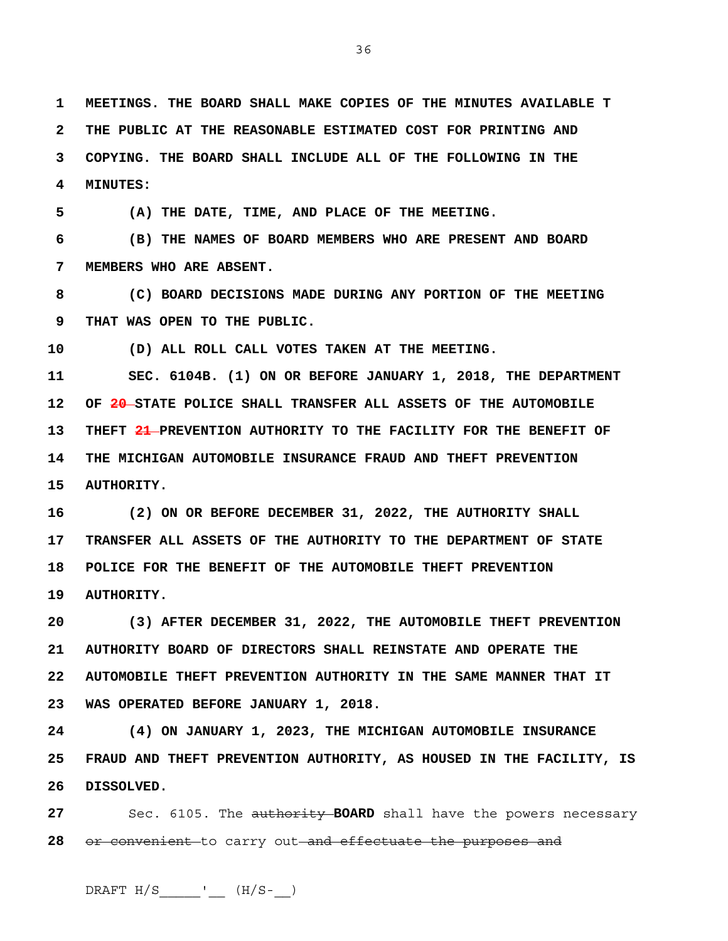**1 MEETINGS. THE BOARD SHALL MAKE COPIES OF THE MINUTES AVAILABLE T 2 THE PUBLIC AT THE REASONABLE ESTIMATED COST FOR PRINTING AND 3 COPYING. THE BOARD SHALL INCLUDE ALL OF THE FOLLOWING IN THE 4 MINUTES:** 

**5 (A) THE DATE, TIME, AND PLACE OF THE MEETING.** 

**6 (B) THE NAMES OF BOARD MEMBERS WHO ARE PRESENT AND BOARD 7 MEMBERS WHO ARE ABSENT.** 

**8 (C) BOARD DECISIONS MADE DURING ANY PORTION OF THE MEETING 9 THAT WAS OPEN TO THE PUBLIC.** 

**10 (D) ALL ROLL CALL VOTES TAKEN AT THE MEETING.** 

**11 SEC. 6104B. (1) ON OR BEFORE JANUARY 1, 2018, THE DEPARTMENT 12 OF 20 STATE POLICE SHALL TRANSFER ALL ASSETS OF THE AUTOMOBILE 13 THEFT 21 PREVENTION AUTHORITY TO THE FACILITY FOR THE BENEFIT OF 14 THE MICHIGAN AUTOMOBILE INSURANCE FRAUD AND THEFT PREVENTION 15 AUTHORITY.** 

**16 (2) ON OR BEFORE DECEMBER 31, 2022, THE AUTHORITY SHALL 17 TRANSFER ALL ASSETS OF THE AUTHORITY TO THE DEPARTMENT OF STATE 18 POLICE FOR THE BENEFIT OF THE AUTOMOBILE THEFT PREVENTION 19 AUTHORITY.** 

**20 (3) AFTER DECEMBER 31, 2022, THE AUTOMOBILE THEFT PREVENTION 21 AUTHORITY BOARD OF DIRECTORS SHALL REINSTATE AND OPERATE THE 22 AUTOMOBILE THEFT PREVENTION AUTHORITY IN THE SAME MANNER THAT IT 23 WAS OPERATED BEFORE JANUARY 1, 2018.** 

**24 (4) ON JANUARY 1, 2023, THE MICHIGAN AUTOMOBILE INSURANCE 25 FRAUD AND THEFT PREVENTION AUTHORITY, AS HOUSED IN THE FACILITY, IS 26 DISSOLVED.**

**27** Sec. 6105. The authority **BOARD** shall have the powers necessary **28** or convenient to carry out and effectuate the purposes and

 $DRAPT H/S$  \_\_\_\_\_\_'\_\_\_ (H/S-\_\_)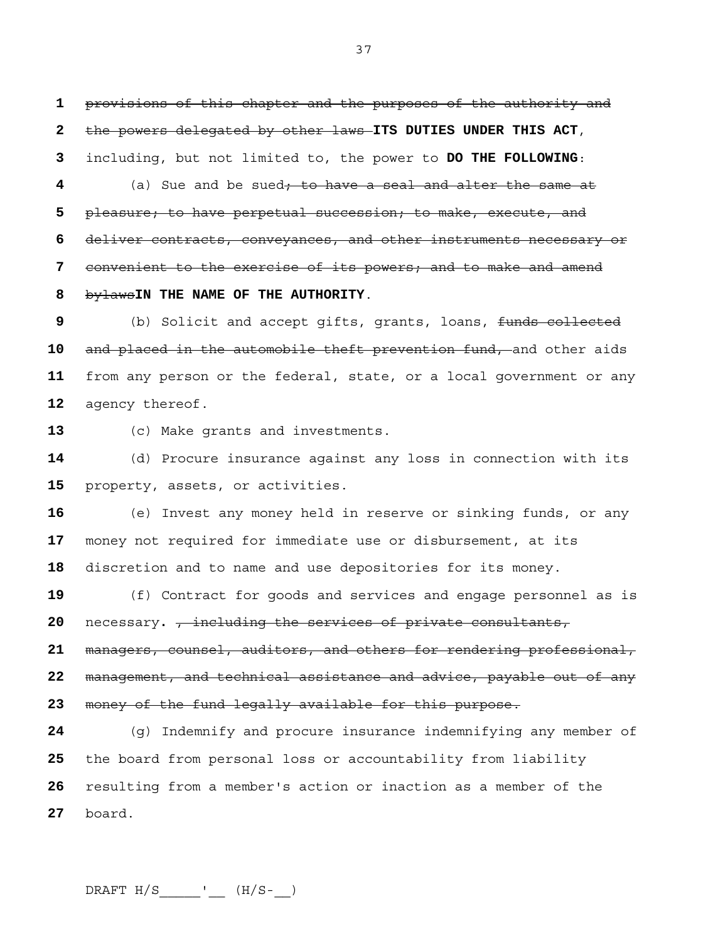provisions of this chapter and the purposes of the authority and the powers delegated by other laws **ITS DUTIES UNDER THIS ACT**, including, but not limited to, the power to **DO THE FOLLOWING**:

(a) Sue and be sued; to have a seal and alter the same at pleasure; to have perpetual succession; to make, execute, and deliver contracts, conveyances, and other instruments necessary or convenient to the exercise of its powers; and to make and amend bylaws**IN THE NAME OF THE AUTHORITY**.

(b) Solicit and accept gifts, grants, loans, funds collected and placed in the automobile theft prevention fund, and other aids from any person or the federal, state, or a local government or any agency thereof.

(c) Make grants and investments.

(d) Procure insurance against any loss in connection with its property, assets, or activities.

(e) Invest any money held in reserve or sinking funds, or any money not required for immediate use or disbursement, at its discretion and to name and use depositories for its money.

(f) Contract for goods and services and engage personnel as is necessary**.** , including the services of private consultants,

managers, counsel, auditors, and others for rendering professional, management, and technical assistance and advice, payable out of any

money of the fund legally available for this purpose.

(g) Indemnify and procure insurance indemnifying any member of the board from personal loss or accountability from liability resulting from a member's action or inaction as a member of the board.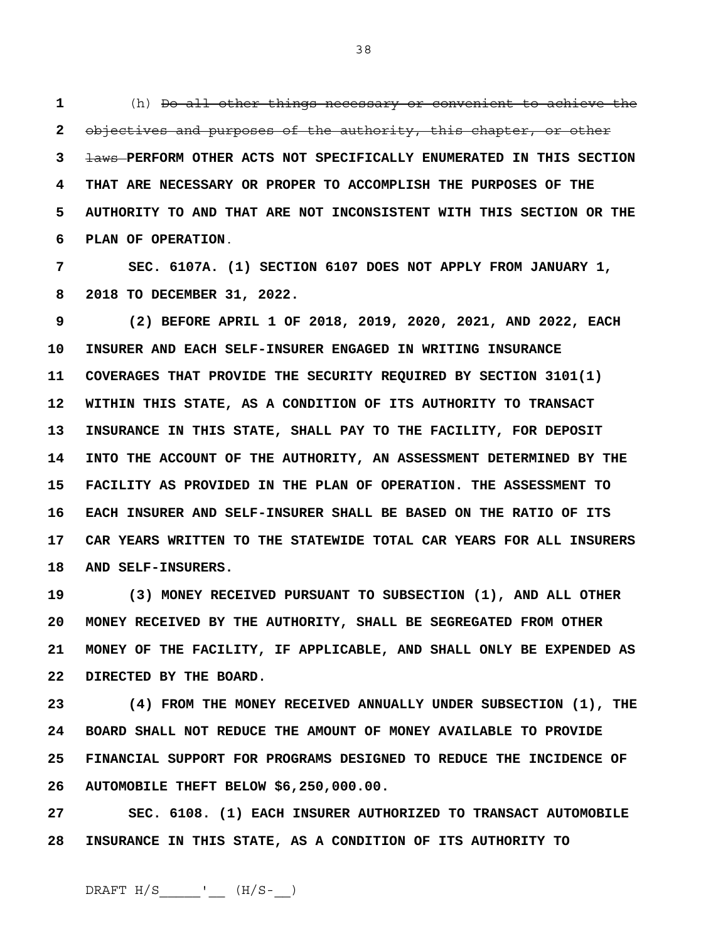**1** (h) Do all other things necessary or convenient to achieve the **2** objectives and purposes of the authority, this chapter, or other **3** laws **PERFORM OTHER ACTS NOT SPECIFICALLY ENUMERATED IN THIS SECTION 4 THAT ARE NECESSARY OR PROPER TO ACCOMPLISH THE PURPOSES OF THE 5 AUTHORITY TO AND THAT ARE NOT INCONSISTENT WITH THIS SECTION OR THE 6 PLAN OF OPERATION**.

**7 SEC. 6107A. (1) SECTION 6107 DOES NOT APPLY FROM JANUARY 1, 8 2018 TO DECEMBER 31, 2022.**

**9 (2) BEFORE APRIL 1 OF 2018, 2019, 2020, 2021, AND 2022, EACH 10 INSURER AND EACH SELF-INSURER ENGAGED IN WRITING INSURANCE 11 COVERAGES THAT PROVIDE THE SECURITY REQUIRED BY SECTION 3101(1) 12 WITHIN THIS STATE, AS A CONDITION OF ITS AUTHORITY TO TRANSACT 13 INSURANCE IN THIS STATE, SHALL PAY TO THE FACILITY, FOR DEPOSIT 14 INTO THE ACCOUNT OF THE AUTHORITY, AN ASSESSMENT DETERMINED BY THE 15 FACILITY AS PROVIDED IN THE PLAN OF OPERATION. THE ASSESSMENT TO 16 EACH INSURER AND SELF-INSURER SHALL BE BASED ON THE RATIO OF ITS 17 CAR YEARS WRITTEN TO THE STATEWIDE TOTAL CAR YEARS FOR ALL INSURERS 18 AND SELF-INSURERS.**

**19 (3) MONEY RECEIVED PURSUANT TO SUBSECTION (1), AND ALL OTHER 20 MONEY RECEIVED BY THE AUTHORITY, SHALL BE SEGREGATED FROM OTHER 21 MONEY OF THE FACILITY, IF APPLICABLE, AND SHALL ONLY BE EXPENDED AS 22 DIRECTED BY THE BOARD.**

**23 (4) FROM THE MONEY RECEIVED ANNUALLY UNDER SUBSECTION (1), THE 24 BOARD SHALL NOT REDUCE THE AMOUNT OF MONEY AVAILABLE TO PROVIDE 25 FINANCIAL SUPPORT FOR PROGRAMS DESIGNED TO REDUCE THE INCIDENCE OF 26 AUTOMOBILE THEFT BELOW \$6,250,000.00.**

**27 SEC. 6108. (1) EACH INSURER AUTHORIZED TO TRANSACT AUTOMOBILE 28 INSURANCE IN THIS STATE, AS A CONDITION OF ITS AUTHORITY TO** 

38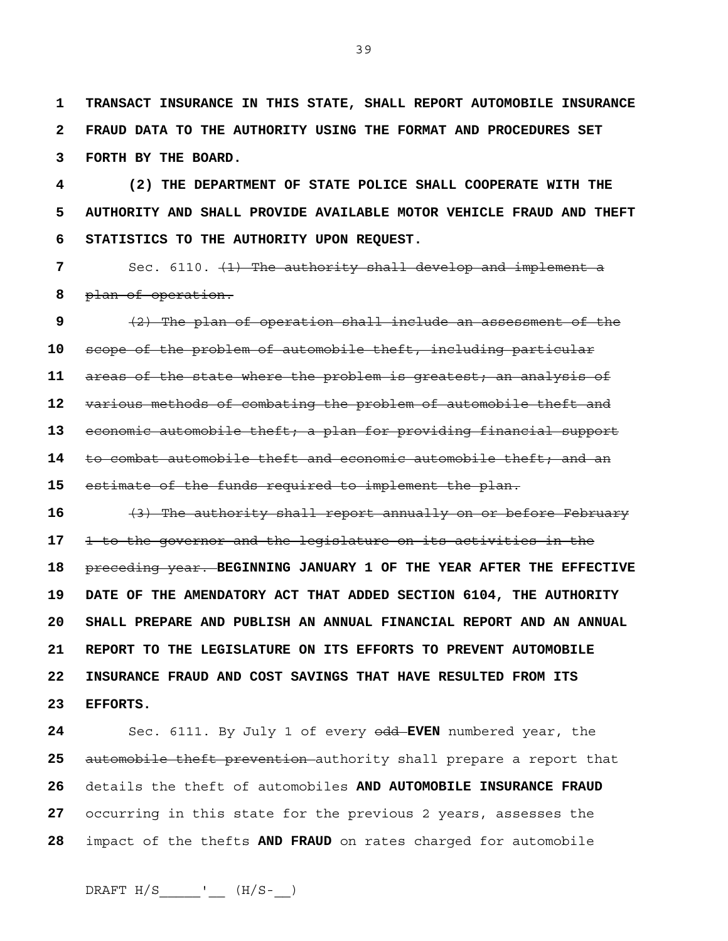**1 TRANSACT INSURANCE IN THIS STATE, SHALL REPORT AUTOMOBILE INSURANCE 2 FRAUD DATA TO THE AUTHORITY USING THE FORMAT AND PROCEDURES SET 3 FORTH BY THE BOARD.** 

**4 (2) THE DEPARTMENT OF STATE POLICE SHALL COOPERATE WITH THE 5 AUTHORITY AND SHALL PROVIDE AVAILABLE MOTOR VEHICLE FRAUD AND THEFT 6 STATISTICS TO THE AUTHORITY UPON REQUEST.**

**7** Sec. 6110. (1) The authority shall develop and implement a **8** plan of operation.

(2) The plan of operation shall include an assessment of the scope of the problem of automobile theft, including particular areas of the state where the problem is greatest; an analysis of various methods of combating the problem of automobile theft and economic automobile theft; a plan for providing financial support to combat automobile theft and economic automobile theft; and an estimate of the funds required to implement the plan.

**16** (3) The authority shall report annually on or before February **17** 1 to the governor and the legislature on its activities in the **18** preceding year. **BEGINNING JANUARY 1 OF THE YEAR AFTER THE EFFECTIVE 19 DATE OF THE AMENDATORY ACT THAT ADDED SECTION 6104, THE AUTHORITY 20 SHALL PREPARE AND PUBLISH AN ANNUAL FINANCIAL REPORT AND AN ANNUAL 21 REPORT TO THE LEGISLATURE ON ITS EFFORTS TO PREVENT AUTOMOBILE 22 INSURANCE FRAUD AND COST SAVINGS THAT HAVE RESULTED FROM ITS 23 EFFORTS.**

Sec. 6111. By July 1 of every odd **EVEN** numbered year, the automobile theft prevention authority shall prepare a report that details the theft of automobiles **AND AUTOMOBILE INSURANCE FRAUD** occurring in this state for the previous 2 years, assesses the impact of the thefts **AND FRAUD** on rates charged for automobile

39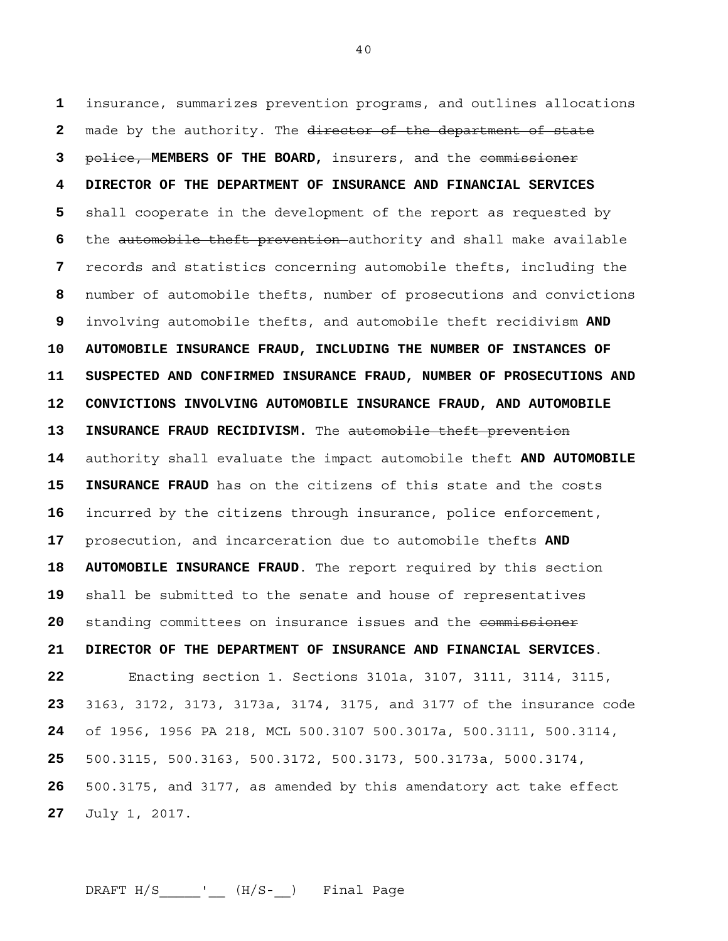insurance, summarizes prevention programs, and outlines allocations made by the authority. The director of the department of state police, **MEMBERS OF THE BOARD,** insurers, and the commissioner **4 DIRECTOR OF THE DEPARTMENT OF INSURANCE AND FINANCIAL SERVICES**  shall cooperate in the development of the report as requested by the automobile theft prevention authority and shall make available records and statistics concerning automobile thefts, including the number of automobile thefts, number of prosecutions and convictions involving automobile thefts, and automobile theft recidivism **AND 10 AUTOMOBILE INSURANCE FRAUD, INCLUDING THE NUMBER OF INSTANCES OF 11 SUSPECTED AND CONFIRMED INSURANCE FRAUD, NUMBER OF PROSECUTIONS AND 12 CONVICTIONS INVOLVING AUTOMOBILE INSURANCE FRAUD, AND AUTOMOBILE 13 INSURANCE FRAUD RECIDIVISM.** The automobile theft prevention authority shall evaluate the impact automobile theft **AND AUTOMOBILE 15 INSURANCE FRAUD** has on the citizens of this state and the costs incurred by the citizens through insurance, police enforcement, prosecution, and incarceration due to automobile thefts **AND 18 AUTOMOBILE INSURANCE FRAUD**. The report required by this section shall be submitted to the senate and house of representatives standing committees on insurance issues and the commissioner **21 DIRECTOR OF THE DEPARTMENT OF INSURANCE AND FINANCIAL SERVICES**. Enacting section 1. Sections 3101a, 3107, 3111, 3114, 3115, 3163, 3172, 3173, 3173a, 3174, 3175, and 3177 of the insurance code of 1956, 1956 PA 218, MCL 500.3107 500.3017a, 500.3111, 500.3114, 500.3115, 500.3163, 500.3172, 500.3173, 500.3173a, 5000.3174, 500.3175, and 3177, as amended by this amendatory act take effect July 1, 2017.

DRAFT  $H/S$   $\qquad \qquad$   $(H/S )$  Final Page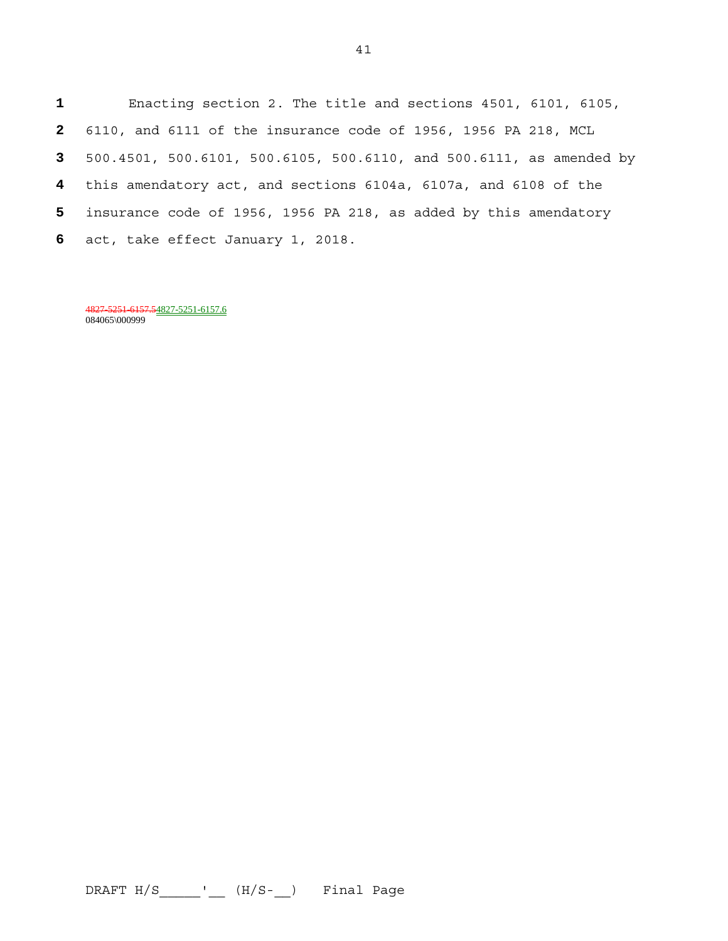Enacting section 2. The title and sections 4501, 6101, 6105, 6110, and 6111 of the insurance code of 1956, 1956 PA 218, MCL 500.4501, 500.6101, 500.6105, 500.6110, and 500.6111, as amended by this amendatory act, and sections 6104a, 6107a, and 6108 of the insurance code of 1956, 1956 PA 218, as added by this amendatory act, take effect January 1, 2018.

4827-5251-6157.54827-5251-6157.6 084065\000999